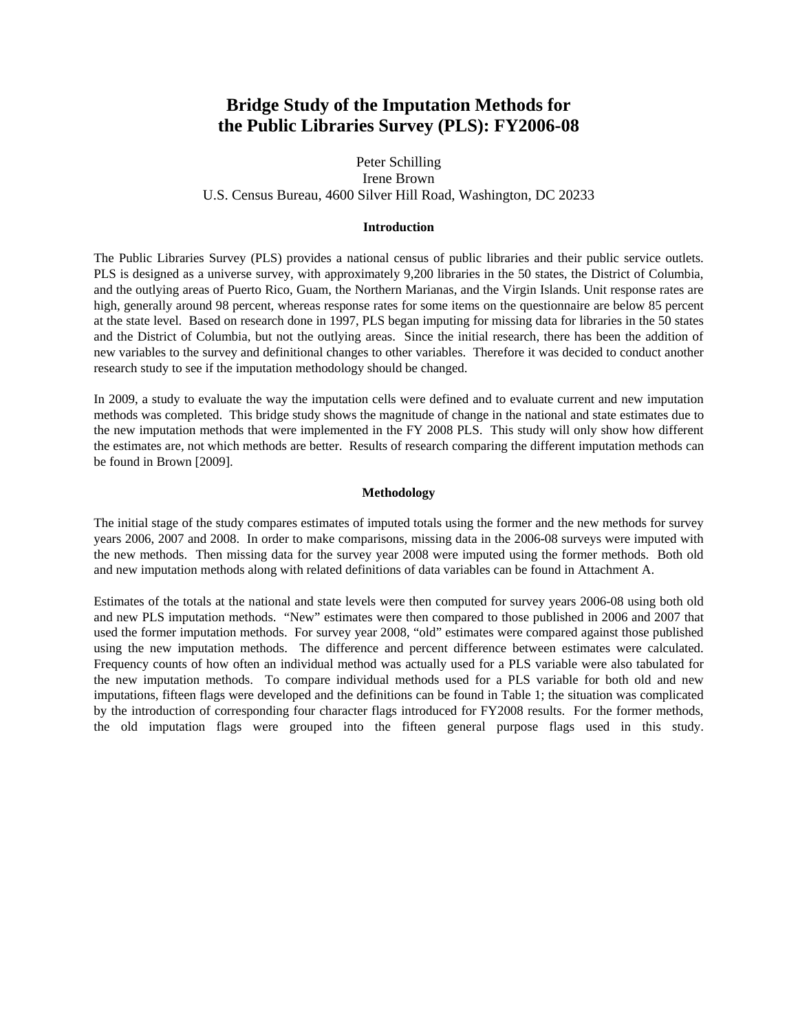# **Bridge Study of the Imputation Methods for the Public Libraries Survey (PLS): FY2006-08**

# Peter Schilling Irene Brown U.S. Census Bureau, 4600 Silver Hill Road, Washington, DC 20233

#### **Introduction**

The Public Libraries Survey (PLS) provides a national census of public libraries and their public service outlets. PLS is designed as a universe survey, with approximately 9,200 libraries in the 50 states, the District of Columbia, and the outlying areas of Puerto Rico, Guam, the Northern Marianas, and the Virgin Islands. Unit response rates are high, generally around 98 percent, whereas response rates for some items on the questionnaire are below 85 percent at the state level. Based on research done in 1997, PLS began imputing for missing data for libraries in the 50 states and the District of Columbia, but not the outlying areas. Since the initial research, there has been the addition of new variables to the survey and definitional changes to other variables. Therefore it was decided to conduct another research study to see if the imputation methodology should be changed.

In 2009, a study to evaluate the way the imputation cells were defined and to evaluate current and new imputation methods was completed. This bridge study shows the magnitude of change in the national and state estimates due to the new imputation methods that were implemented in the FY 2008 PLS. This study will only show how different the estimates are, not which methods are better. Results of research comparing the different imputation methods can be found in Brown [2009].

#### **Methodology**

The initial stage of the study compares estimates of imputed totals using the former and the new methods for survey years 2006, 2007 and 2008. In order to make comparisons, missing data in the 2006-08 surveys were imputed with the new methods. Then missing data for the survey year 2008 were imputed using the former methods. Both old and new imputation methods along with related definitions of data variables can be found in Attachment A.

Estimates of the totals at the national and state levels were then computed for survey years 2006-08 using both old and new PLS imputation methods. "New" estimates were then compared to those published in 2006 and 2007 that used the former imputation methods. For survey year 2008, "old" estimates were compared against those published using the new imputation methods. The difference and percent difference between estimates were calculated. Frequency counts of how often an individual method was actually used for a PLS variable were also tabulated for the new imputation methods. To compare individual methods used for a PLS variable for both old and new imputations, fifteen flags were developed and the definitions can be found in Table 1; the situation was complicated by the introduction of corresponding four character flags introduced for FY2008 results. For the former methods, the old imputation flags were grouped into the fifteen general purpose flags used in this study.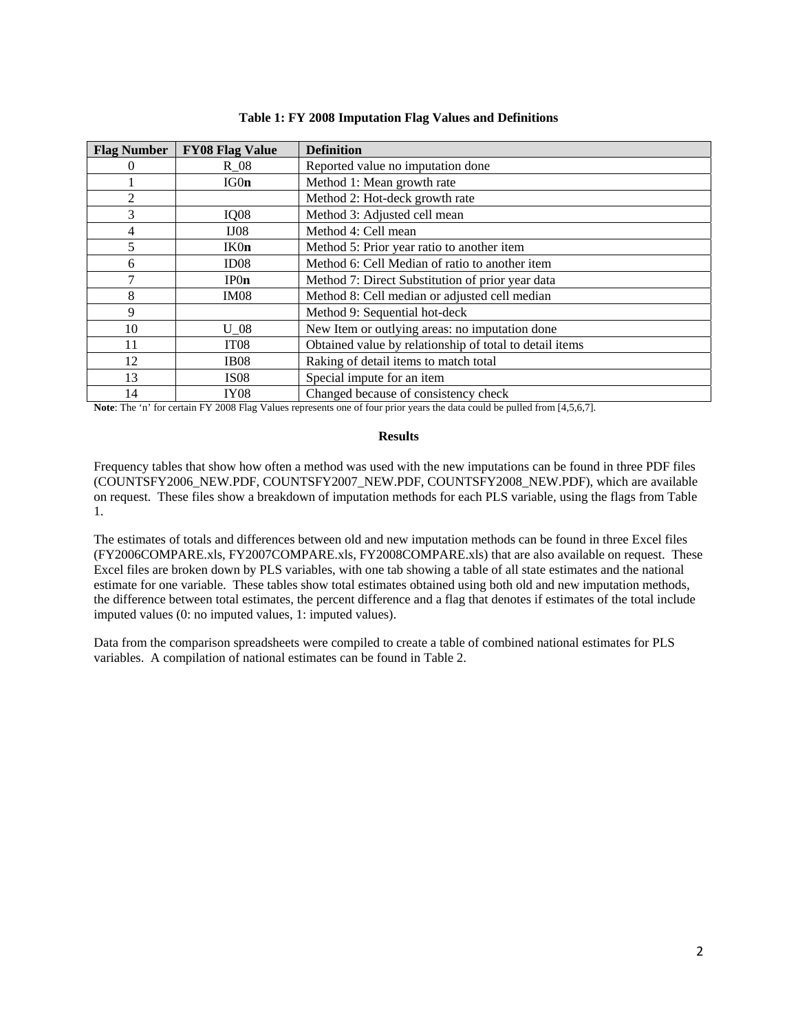| <b>Flag Number</b> | <b>FY08 Flag Value</b> | <b>Definition</b>                                       |
|--------------------|------------------------|---------------------------------------------------------|
|                    | $R_0$                  | Reported value no imputation done                       |
|                    | IG0n                   | Method 1: Mean growth rate                              |
|                    |                        | Method 2: Hot-deck growth rate                          |
| 3                  | IQ08                   | Method 3: Adjusted cell mean                            |
| 4                  | IJO8                   | Method 4: Cell mean                                     |
| 5                  | IK0n                   | Method 5: Prior year ratio to another item              |
| 6                  | ID <sub>08</sub>       | Method 6: Cell Median of ratio to another item          |
|                    | IPOn                   | Method 7: Direct Substitution of prior year data        |
| 8                  | IM <sub>08</sub>       | Method 8: Cell median or adjusted cell median           |
| 9                  |                        | Method 9: Sequential hot-deck                           |
| 10                 | $U_0$ 08               | New Item or outlying areas: no imputation done          |
| 11                 | IT <sub>08</sub>       | Obtained value by relationship of total to detail items |
| 12                 | IB <sub>08</sub>       | Raking of detail items to match total                   |
| 13                 | <b>IS08</b>            | Special impute for an item                              |
| 14                 | <b>IY08</b>            | Changed because of consistency check                    |

### **Table 1: FY 2008 Imputation Flag Values and Definitions**

**Note**: The 'n' for certain FY 2008 Flag Values represents one of four prior years the data could be pulled from [4,5,6,7].

### **Results**

Frequency tables that show how often a method was used with the new imputations can be found in three PDF files (COUNTSFY2006\_NEW.PDF, COUNTSFY2007\_NEW.PDF, COUNTSFY2008\_NEW.PDF), which are available on request. These files show a breakdown of imputation methods for each PLS variable, using the flags from Table 1.

The estimates of totals and differences between old and new imputation methods can be found in three Excel files (FY2006COMPARE.xls, FY2007COMPARE.xls, FY2008COMPARE.xls) that are also available on request. These Excel files are broken down by PLS variables, with one tab showing a table of all state estimates and the national estimate for one variable. These tables show total estimates obtained using both old and new imputation methods, the difference between total estimates, the percent difference and a flag that denotes if estimates of the total include imputed values (0: no imputed values, 1: imputed values).

Data from the comparison spreadsheets were compiled to create a table of combined national estimates for PLS variables. A compilation of national estimates can be found in Table 2.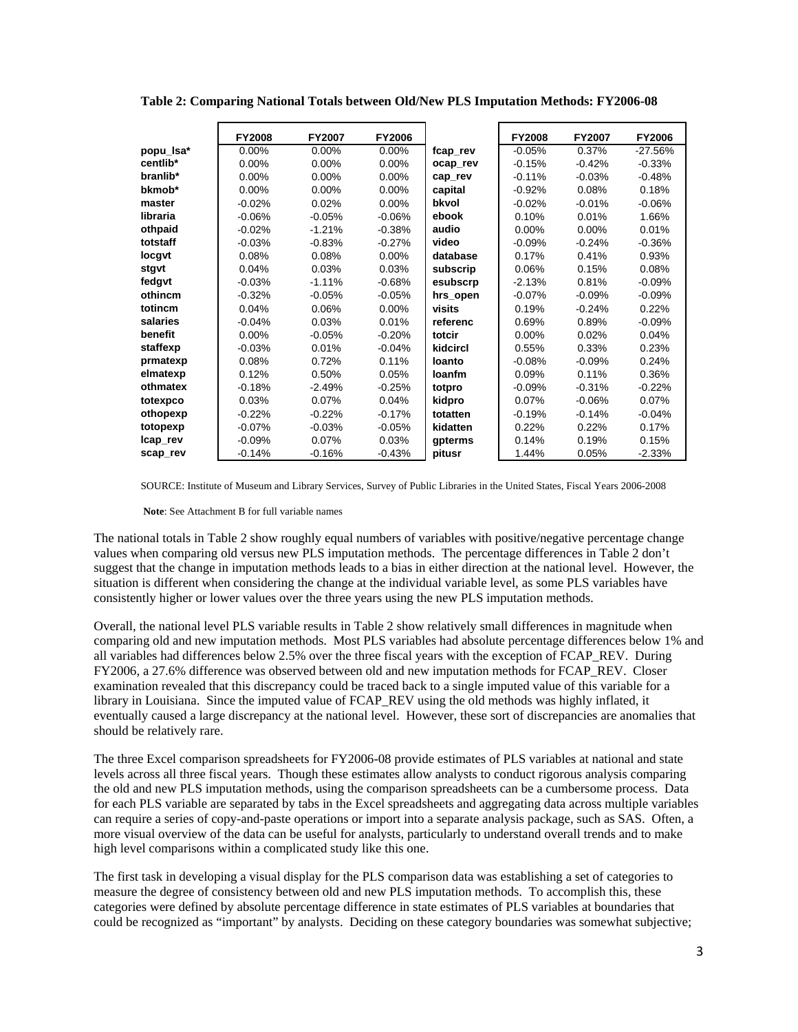|           | <b>FY2008</b> | <b>FY2007</b> | FY2006   |          | <b>FY2008</b> | <b>FY2007</b> | <b>FY2006</b> |
|-----------|---------------|---------------|----------|----------|---------------|---------------|---------------|
| popu_lsa* | $0.00\%$      | 0.00%         | $0.00\%$ | fcap rev | $-0.05%$      | 0.37%         | $-27.56%$     |
| centlib*  | $0.00\%$      | 0.00%         | 0.00%    | ocap rev | $-0.15%$      | $-0.42%$      | $-0.33%$      |
| branlib*  | $0.00\%$      | $0.00\%$      | 0.00%    | cap rev  | $-0.11%$      | $-0.03%$      | $-0.48%$      |
| bkmob*    | $0.00\%$      | 0.00%         | 0.00%    | capital  | $-0.92%$      | 0.08%         | 0.18%         |
| master    | $-0.02%$      | 0.02%         | 0.00%    | bkvol    | $-0.02%$      | $-0.01%$      | $-0.06%$      |
| libraria  | $-0.06%$      | $-0.05%$      | $-0.06%$ | ebook    | 0.10%         | 0.01%         | 1.66%         |
| othpaid   | $-0.02%$      | $-1.21%$      | $-0.38%$ | audio    | $0.00\%$      | $0.00\%$      | 0.01%         |
| totstaff  | $-0.03%$      | $-0.83%$      | $-0.27%$ | video    | $-0.09%$      | $-0.24%$      | $-0.36%$      |
| locgvt    | 0.08%         | 0.08%         | $0.00\%$ | database | 0.17%         | 0.41%         | 0.93%         |
| stgvt     | 0.04%         | 0.03%         | 0.03%    | subscrip | 0.06%         | 0.15%         | 0.08%         |
| fedgvt    | $-0.03%$      | $-1.11%$      | $-0.68%$ | esubscrp | $-2.13%$      | 0.81%         | $-0.09%$      |
| othincm   | $-0.32%$      | $-0.05%$      | $-0.05%$ | hrs_open | $-0.07%$      | $-0.09%$      | $-0.09%$      |
| totincm   | 0.04%         | 0.06%         | $0.00\%$ | visits   | 0.19%         | $-0.24%$      | 0.22%         |
| salaries  | $-0.04%$      | 0.03%         | 0.01%    | referenc | 0.69%         | 0.89%         | $-0.09%$      |
| benefit   | $0.00\%$      | $-0.05%$      | $-0.20%$ | totcir   | 0.00%         | 0.02%         | 0.04%         |
| staffexp  | $-0.03%$      | 0.01%         | $-0.04%$ | kidcircl | 0.55%         | 0.33%         | 0.23%         |
| prmatexp  | 0.08%         | 0.72%         | 0.11%    | loanto   | $-0.08%$      | $-0.09%$      | 0.24%         |
| elmatexp  | 0.12%         | 0.50%         | 0.05%    | loanfm   | 0.09%         | 0.11%         | 0.36%         |
| othmatex  | $-0.18%$      | $-2.49%$      | $-0.25%$ | totpro   | $-0.09%$      | $-0.31%$      | $-0.22%$      |
| totexpco  | 0.03%         | 0.07%         | 0.04%    | kidpro   | 0.07%         | $-0.06%$      | 0.07%         |
| othopexp  | $-0.22%$      | $-0.22%$      | $-0.17%$ | totatten | $-0.19%$      | $-0.14%$      | $-0.04%$      |
| totopexp  | $-0.07%$      | $-0.03%$      | $-0.05%$ | kidatten | 0.22%         | 0.22%         | 0.17%         |
| Icap rev  | $-0.09%$      | 0.07%         | 0.03%    | gpterms  | 0.14%         | 0.19%         | 0.15%         |
| scap rev  | $-0.14%$      | $-0.16%$      | $-0.43%$ | pitusr   | 1.44%         | 0.05%         | $-2.33%$      |

**Table 2: Comparing National Totals between Old/New PLS Imputation Methods: FY2006-08**

SOURCE: Institute of Museum and Library Services, Survey of Public Libraries in the United States, Fiscal Years 2006-2008

**Note**: See Attachment B for full variable names

The national totals in Table 2 show roughly equal numbers of variables with positive/negative percentage change values when comparing old versus new PLS imputation methods. The percentage differences in Table 2 don't suggest that the change in imputation methods leads to a bias in either direction at the national level. However, the situation is different when considering the change at the individual variable level, as some PLS variables have consistently higher or lower values over the three years using the new PLS imputation methods.

Overall, the national level PLS variable results in Table 2 show relatively small differences in magnitude when comparing old and new imputation methods. Most PLS variables had absolute percentage differences below 1% and all variables had differences below 2.5% over the three fiscal years with the exception of FCAP\_REV. During FY2006, a 27.6% difference was observed between old and new imputation methods for FCAP\_REV. Closer examination revealed that this discrepancy could be traced back to a single imputed value of this variable for a library in Louisiana. Since the imputed value of FCAP\_REV using the old methods was highly inflated, it eventually caused a large discrepancy at the national level. However, these sort of discrepancies are anomalies that should be relatively rare.

The three Excel comparison spreadsheets for FY2006-08 provide estimates of PLS variables at national and state levels across all three fiscal years. Though these estimates allow analysts to conduct rigorous analysis comparing the old and new PLS imputation methods, using the comparison spreadsheets can be a cumbersome process. Data for each PLS variable are separated by tabs in the Excel spreadsheets and aggregating data across multiple variables can require a series of copy-and-paste operations or import into a separate analysis package, such as SAS. Often, a more visual overview of the data can be useful for analysts, particularly to understand overall trends and to make high level comparisons within a complicated study like this one.

The first task in developing a visual display for the PLS comparison data was establishing a set of categories to measure the degree of consistency between old and new PLS imputation methods. To accomplish this, these categories were defined by absolute percentage difference in state estimates of PLS variables at boundaries that could be recognized as "important" by analysts. Deciding on these category boundaries was somewhat subjective;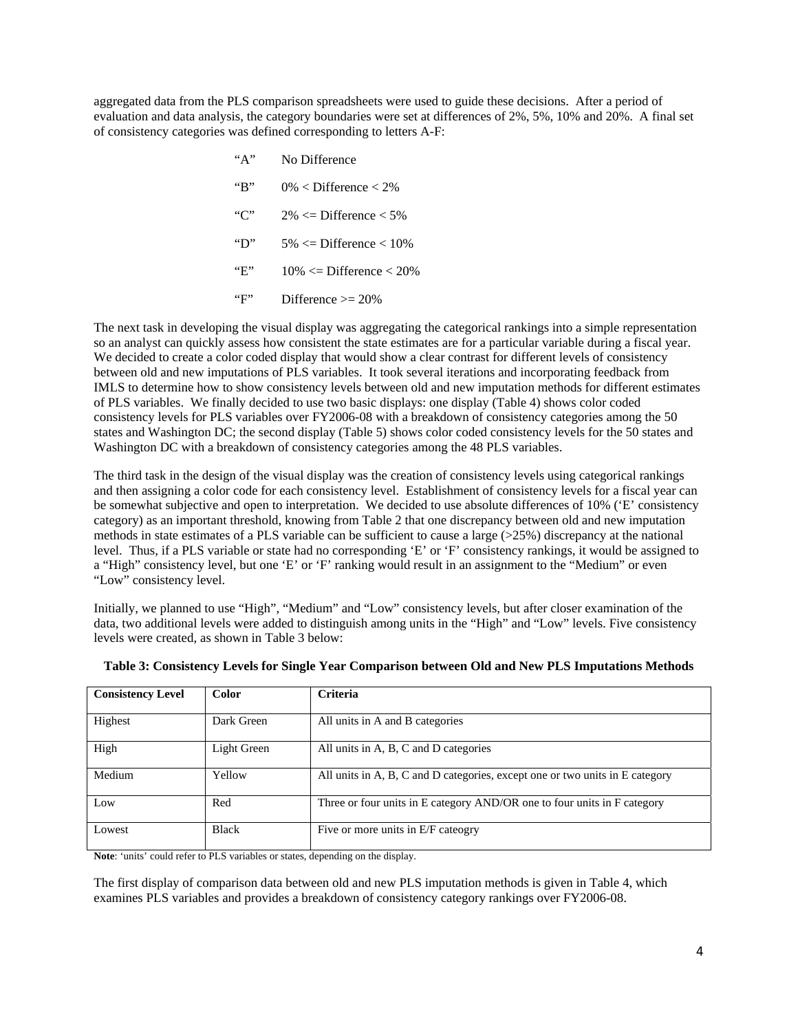aggregated data from the PLS comparison spreadsheets were used to guide these decisions. After a period of evaluation and data analysis, the category boundaries were set at differences of 2%, 5%, 10% and 20%. A final set of consistency categories was defined corresponding to letters A-F:

| "А"                 | No Difference                   |
|---------------------|---------------------------------|
| $\mathrm{``R''}$    | $0\%$ < Difference < 2\%        |
| C                   | $2\% \leq$ Difference $<$ 5\%   |
| $\lq\lq \lq \rceil$ | $5\% \leq$ Difference $< 10\%$  |
| "E"                 | $10\% \leq$ Difference $< 20\%$ |
| "F"                 | Difference $\ge$ 20%            |

The next task in developing the visual display was aggregating the categorical rankings into a simple representation so an analyst can quickly assess how consistent the state estimates are for a particular variable during a fiscal year. We decided to create a color coded display that would show a clear contrast for different levels of consistency between old and new imputations of PLS variables. It took several iterations and incorporating feedback from IMLS to determine how to show consistency levels between old and new imputation methods for different estimates of PLS variables. We finally decided to use two basic displays: one display (Table 4) shows color coded consistency levels for PLS variables over FY2006-08 with a breakdown of consistency categories among the 50 states and Washington DC; the second display (Table 5) shows color coded consistency levels for the 50 states and Washington DC with a breakdown of consistency categories among the 48 PLS variables.

The third task in the design of the visual display was the creation of consistency levels using categorical rankings and then assigning a color code for each consistency level. Establishment of consistency levels for a fiscal year can be somewhat subjective and open to interpretation. We decided to use absolute differences of 10% ('E' consistency category) as an important threshold, knowing from Table 2 that one discrepancy between old and new imputation methods in state estimates of a PLS variable can be sufficient to cause a large (>25%) discrepancy at the national level. Thus, if a PLS variable or state had no corresponding 'E' or 'F' consistency rankings, it would be assigned to a "High" consistency level, but one 'E' or 'F' ranking would result in an assignment to the "Medium" or even "Low" consistency level.

Initially, we planned to use "High", "Medium" and "Low" consistency levels, but after closer examination of the data, two additional levels were added to distinguish among units in the "High" and "Low" levels. Five consistency levels were created, as shown in Table 3 below:

| <b>Consistency Level</b> | <b>Color</b> | Criteria                                                                     |
|--------------------------|--------------|------------------------------------------------------------------------------|
| Highest                  | Dark Green   | All units in A and B categories                                              |
| High                     | Light Green  | All units in A, B, C and D categories                                        |
| Medium                   | Yellow       | All units in A, B, C and D categories, except one or two units in E category |
| Low                      | Red          | Three or four units in E category AND/OR one to four units in F category     |
| Lowest                   | <b>Black</b> | Five or more units in E/F cateogry                                           |

|  | Table 3: Consistency Levels for Single Year Comparison between Old and New PLS Imputations Methods |  |
|--|----------------------------------------------------------------------------------------------------|--|
|  |                                                                                                    |  |
|  |                                                                                                    |  |

**Note**: 'units' could refer to PLS variables or states, depending on the display.

The first display of comparison data between old and new PLS imputation methods is given in Table 4, which examines PLS variables and provides a breakdown of consistency category rankings over FY2006-08.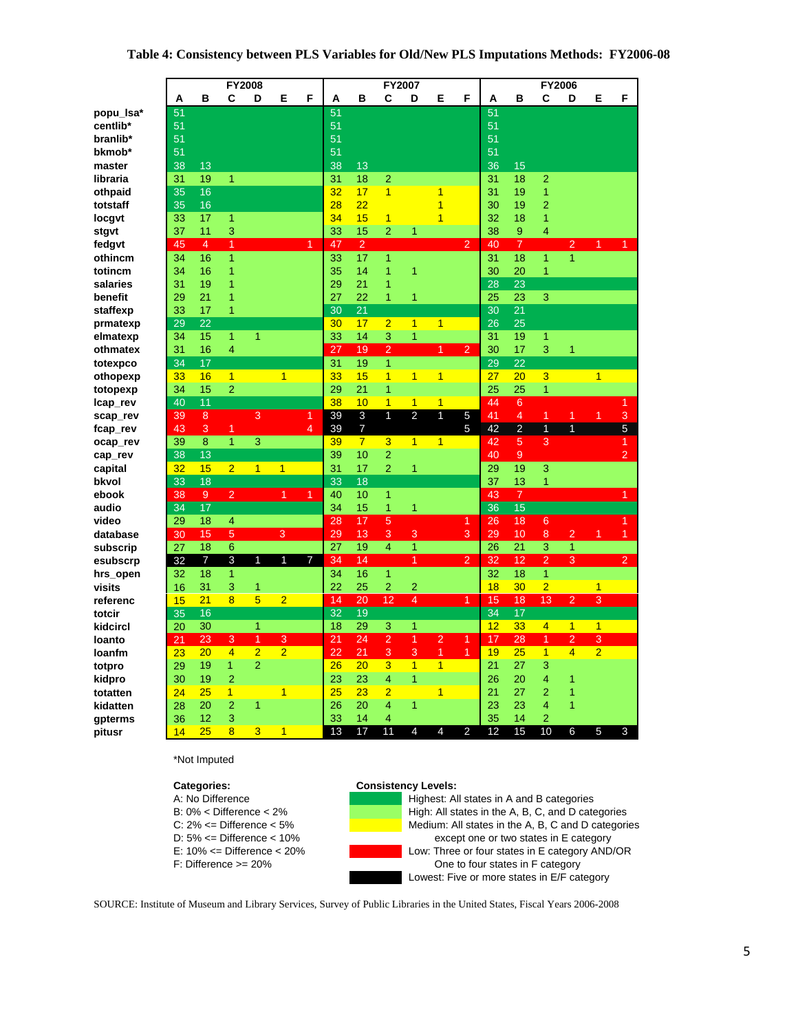|           |    |                 |                 | <b>FY2008</b>  |                |                |    |                |                | FY2007         |                |                      |    |                 | FY2006         |                |                |                |
|-----------|----|-----------------|-----------------|----------------|----------------|----------------|----|----------------|----------------|----------------|----------------|----------------------|----|-----------------|----------------|----------------|----------------|----------------|
|           | A  | в               | C               | D              | Е              | F              | А  | в              | С              | D              | Е              | F                    | А  | в               | С              | D              | Е              | F              |
| popu_lsa* | 51 |                 |                 |                |                |                | 51 |                |                |                |                |                      | 51 |                 |                |                |                |                |
| centlib*  | 51 |                 |                 |                |                |                | 51 |                |                |                |                |                      | 51 |                 |                |                |                |                |
| branlib*  | 51 |                 |                 |                |                |                | 51 |                |                |                |                |                      | 51 |                 |                |                |                |                |
| bkmob*    | 51 |                 |                 |                |                |                | 51 |                |                |                |                |                      | 51 |                 |                |                |                |                |
| master    | 38 | 13              |                 |                |                |                | 38 | 13             |                |                |                |                      | 36 | 15              |                |                |                |                |
| libraria  | 31 | 19              | 1               |                |                |                | 31 | 18             | $\overline{2}$ |                |                |                      | 31 | 18              | $\overline{2}$ |                |                |                |
| othpaid   | 35 | 16              |                 |                |                |                | 32 | 17             | $\overline{1}$ |                | 1              |                      | 31 | 19              | 1              |                |                |                |
| totstaff  | 35 | 16              |                 |                |                |                | 28 | 22             |                |                | 1              |                      | 30 | 19              | $\overline{2}$ |                |                |                |
| locgvt    | 33 | 17              | 1               |                |                |                | 34 | 15             | $\overline{1}$ |                | 1              |                      | 32 | 18              | $\mathbf{1}$   |                |                |                |
| stgvt     | 37 | 11              | 3               |                |                |                | 33 | 15             | $\overline{2}$ | 1              |                |                      | 38 | 9               | 4              |                |                |                |
| fedgvt    | 45 | $\overline{4}$  | $\overline{1}$  |                |                | $\overline{1}$ | 47 | $\overline{2}$ |                |                |                | $\overline{2}$       | 40 | $\overline{7}$  |                | $\overline{2}$ | 1              |                |
| othincm   | 34 | 16              | 1               |                |                |                | 33 | 17             | $\mathbf{1}$   |                |                |                      | 31 | 18              | 1              | 1              |                |                |
| totincm   | 34 | 16              | 1               |                |                |                | 35 | 14             | 1              | 1              |                |                      | 30 | 20              | $\mathbf{1}$   |                |                |                |
| salaries  | 31 | 19              | 1               |                |                |                | 29 | 21             | 1              |                |                |                      | 28 | 23              |                |                |                |                |
| benefit   | 29 | 21              | 1               |                |                |                | 27 | 22             | $\mathbf{1}$   | $\mathbf{1}$   |                |                      | 25 | 23              | 3              |                |                |                |
|           |    |                 | 1               |                |                |                |    |                |                |                |                |                      |    | 21              |                |                |                |                |
| staffexp  | 33 | 17<br>22        |                 |                |                |                | 30 | 21<br>17       | $\overline{2}$ |                | 1              |                      | 30 |                 |                |                |                |                |
| prmatexp  | 29 |                 |                 |                |                |                | 30 |                |                | $\overline{1}$ |                |                      | 26 | 25              |                |                |                |                |
| elmatexp  | 34 | 15              | 1               | 1              |                |                | 33 | 14             | 3              | 1              |                |                      | 31 | 19              | 1              |                |                |                |
| othmatex  | 31 | 16              | 4               |                |                |                | 27 | 19             | $\overline{2}$ |                | 1              | $\overline{2}$       | 30 | 17              | 3              | 1              |                |                |
| totexpco  | 34 | 17              |                 |                |                |                | 31 | 19             | $\mathbf{1}$   |                |                |                      | 29 | 22              |                |                |                |                |
| othopexp  | 33 | 16              | $\overline{1}$  |                | $\overline{1}$ |                | 33 | 15             | $\mathbf{1}$   | $\overline{1}$ | $\overline{1}$ |                      | 27 | 20              | 3              |                | $\overline{1}$ |                |
| totopexp  | 34 | 15              | $\overline{2}$  |                |                |                | 29 | 21             | 1              |                |                |                      | 25 | 25              | 1              |                |                |                |
| lcap_rev  | 40 | 11              |                 |                |                |                | 38 | 10             | $\overline{1}$ | $\overline{1}$ | $\overline{1}$ |                      | 44 | $6\phantom{1}6$ |                |                |                | 1              |
| scap_rev  | 39 | 8               |                 | 3              |                | 1              | 39 | 3              | $\overline{1}$ | $\overline{a}$ | $\overline{1}$ | 5                    | 41 | $\overline{4}$  | $\overline{1}$ | 1              | 1              | 3              |
| fcap_rev  | 43 | 3               | $\mathbf{1}$    |                |                | 4              | 39 | 7              |                |                |                | 5                    | 42 | $\overline{2}$  | $\overline{1}$ | $\overline{1}$ |                | $\overline{5}$ |
| ocap_rev  | 39 | 8               | $\overline{1}$  | 3              |                |                | 39 | $\overline{7}$ | 3              | $\overline{1}$ | 1              |                      | 42 | 5               | 3              |                |                | 1              |
| cap_rev   | 38 | 13              |                 |                |                |                | 39 | 10             | $\overline{2}$ |                |                |                      | 40 | 9               |                |                |                | $\overline{2}$ |
| capital   | 32 | 15              | $\overline{2}$  | $\overline{1}$ | $\overline{1}$ |                | 31 | 17             | $\overline{a}$ | $\overline{1}$ |                |                      | 29 | 19              | 3              |                |                |                |
| bkvol     | 33 | 18              |                 |                |                |                | 33 | 18             |                |                |                |                      | 37 | 13              | 1              |                |                |                |
| ebook     | 38 | $\overline{9}$  | $\overline{2}$  |                | $\mathbf{1}$   | $\mathbf{1}$   | 40 | 10             | 1              |                |                |                      | 43 | $\overline{7}$  |                |                |                | 1              |
| audio     | 34 | $\overline{17}$ |                 |                |                |                | 34 | 15             | 1              | 1              |                |                      | 36 | 15              |                |                |                |                |
| video     | 29 | 18              | $\overline{4}$  |                |                |                | 28 | 17             | 5              |                |                | $\mathbf{1}$         | 26 | 18              | 6              |                |                | 1              |
| database  | 30 | 15              | 5               |                | 3              |                | 29 | 13             | 3              | 3              |                | 3                    | 29 | 10              | 8              | $\overline{2}$ | 1              | 1              |
| subscrip  | 27 | 18              | $6\phantom{1}6$ |                |                |                | 27 | 19             | $\overline{4}$ | $\overline{1}$ |                |                      | 26 | 21              | 3              | 1              |                |                |
| esubscrp  | 32 | $\overline{7}$  | 3               | 1              | 1              | $\overline{7}$ | 34 | 14             |                | 1              |                | $\overline{2}$       | 32 | 12              | $\overline{2}$ | 3              |                | $\overline{2}$ |
| hrs_open  | 32 | 18              | 1               |                |                |                | 34 | 16             | $\overline{1}$ |                |                |                      | 32 | 18              | 1              |                |                |                |
| visits    | 16 | 31              | 3               | 1              |                |                | 22 | 25             | $\mathbf{2}$   | 2              |                |                      | 18 | 30              | $\overline{2}$ |                | $\overline{1}$ |                |
| referenc  | 15 | 21              | 8               | 5              | $\overline{2}$ |                | 14 | 20             | 12             | $\overline{4}$ |                | $\blacktriangleleft$ | 15 | 18              | 13             | $\overline{a}$ | 3              |                |
| totcir    | 35 | 16              |                 |                |                |                | 32 | 19             |                |                |                |                      | 34 | 17              |                |                |                |                |
| kidcircl  | 20 | 30              |                 | $\mathbf{1}$   |                |                | 18 | 29             | 3              | $\overline{1}$ |                |                      | 12 | 33              | $\overline{4}$ | $\overline{1}$ | $\overline{1}$ |                |
| loanto    | 21 | 23              | 3               | 1              | 3              |                | 21 | 24             | $\overline{2}$ | 1              | $\overline{2}$ | $\overline{1}$       | 17 | 28              | 1              | $\overline{2}$ | 3              |                |
| loanfm    | 23 | 20              | $\overline{4}$  | $\overline{2}$ | $\overline{2}$ |                | 22 | 21             | 3              | 3              | $\overline{1}$ | 1                    | 19 | 25              | $\overline{1}$ | 4              | $\overline{2}$ |                |
| totpro    | 29 | 19              | 1               | $\overline{2}$ |                |                | 26 | 20             | 3              | $\overline{1}$ | $\overline{1}$ |                      | 21 | 27              | 3              |                |                |                |
| kidpro    | 30 | 19              | $\overline{2}$  |                |                |                | 23 | 23             | $\overline{4}$ | $\overline{1}$ |                |                      | 26 | 20              | 4              | 1              |                |                |
| totatten  | 24 | 25              | $\mathbf{1}$    |                | 1              |                | 25 | 23             | $\overline{2}$ |                | 1              |                      | 21 | 27              | 2              | 1              |                |                |
| kidatten  | 28 | 20              | $\overline{2}$  | 1              |                |                | 26 | 20             | $\overline{4}$ | 1              |                |                      | 23 | 23              | 4              | 1              |                |                |
| gpterms   | 36 | 12              | 3               |                |                |                | 33 | 14             | 4              |                |                |                      | 35 | 14              | $\overline{2}$ |                |                |                |
|           | 14 | 25              | 8               | 3              | 1              |                | 13 | 17             | 11             | 4              | 4              | $\overline{2}$       | 12 | 15              | 10             | 6              | 5              | 3              |
| pitusr    |    |                 |                 |                |                |                |    |                |                |                |                |                      |    |                 |                |                |                |                |

#### \*Not Imputed

- 
- 
- 
- 
- 
- 

# **Categories:** Consistency Levels:<br>
A: No Difference **Constant Consistency Levels:** A:

Highest: All states in A and B categories B: 0% < Difference < 2% High: All states in the A, B, C, and D categories C:  $2\% \leq \text{Difference} \leq 5\%$  Medium: All states in the A, B, C and D categories D: 5% <= Difference < 10% except one or two states in E category E: 10% <= Difference < 20% Low: Three or four states in E category AND/OR F: Difference >= 20% One to four states in F category Lowest: Five or more states in E/F category

SOURCE: Institute of Museum and Library Services, Survey of Public Libraries in the United States, Fiscal Years 2006-2008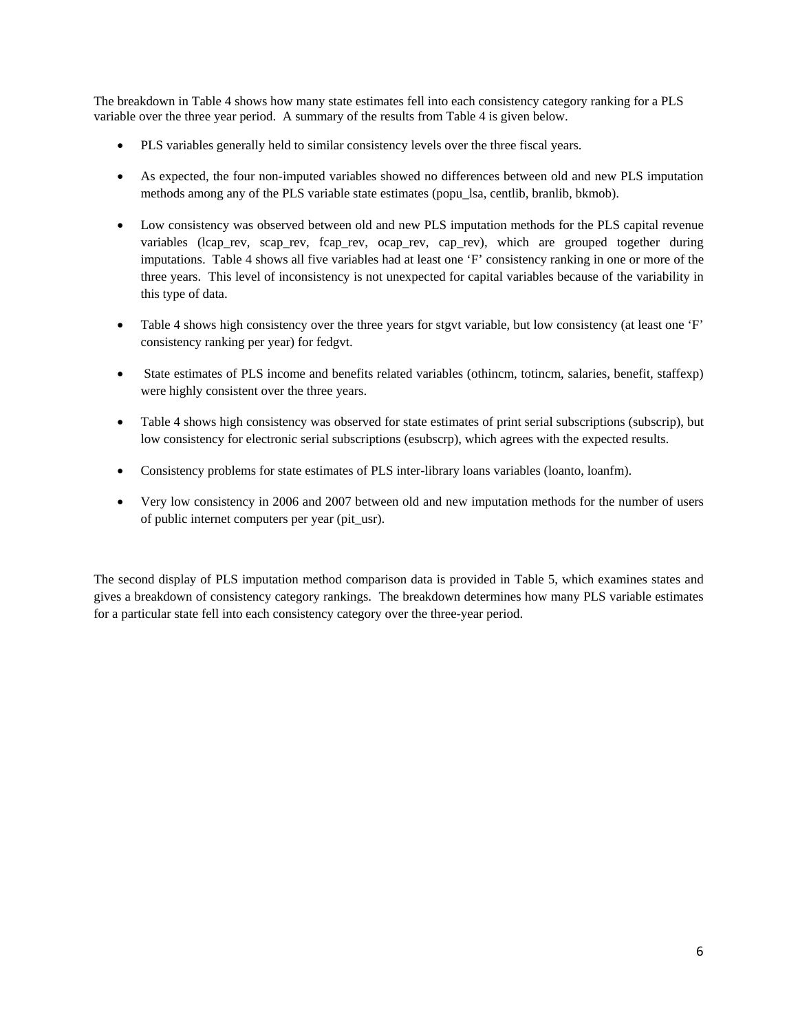The breakdown in Table 4 shows how many state estimates fell into each consistency category ranking for a PLS variable over the three year period. A summary of the results from Table 4 is given below.

- PLS variables generally held to similar consistency levels over the three fiscal years.
- As expected, the four non-imputed variables showed no differences between old and new PLS imputation methods among any of the PLS variable state estimates (popu\_lsa, centlib, branlib, bkmob).
- Low consistency was observed between old and new PLS imputation methods for the PLS capital revenue variables (lcap\_rev, scap\_rev, fcap\_rev, ocap\_rev, cap\_rev), which are grouped together during imputations. Table 4 shows all five variables had at least one 'F' consistency ranking in one or more of the three years. This level of inconsistency is not unexpected for capital variables because of the variability in this type of data.
- Table 4 shows high consistency over the three years for stgvt variable, but low consistency (at least one 'F' consistency ranking per year) for fedgvt.
- State estimates of PLS income and benefits related variables (othincm, totincm, salaries, benefit, staffexp) were highly consistent over the three years.
- Table 4 shows high consistency was observed for state estimates of print serial subscriptions (subscrip), but low consistency for electronic serial subscriptions (esubscrp), which agrees with the expected results.
- Consistency problems for state estimates of PLS inter-library loans variables (loanto, loanfm).
- Very low consistency in 2006 and 2007 between old and new imputation methods for the number of users of public internet computers per year (pit\_usr).

The second display of PLS imputation method comparison data is provided in Table 5, which examines states and gives a breakdown of consistency category rankings. The breakdown determines how many PLS variable estimates for a particular state fell into each consistency category over the three-year period.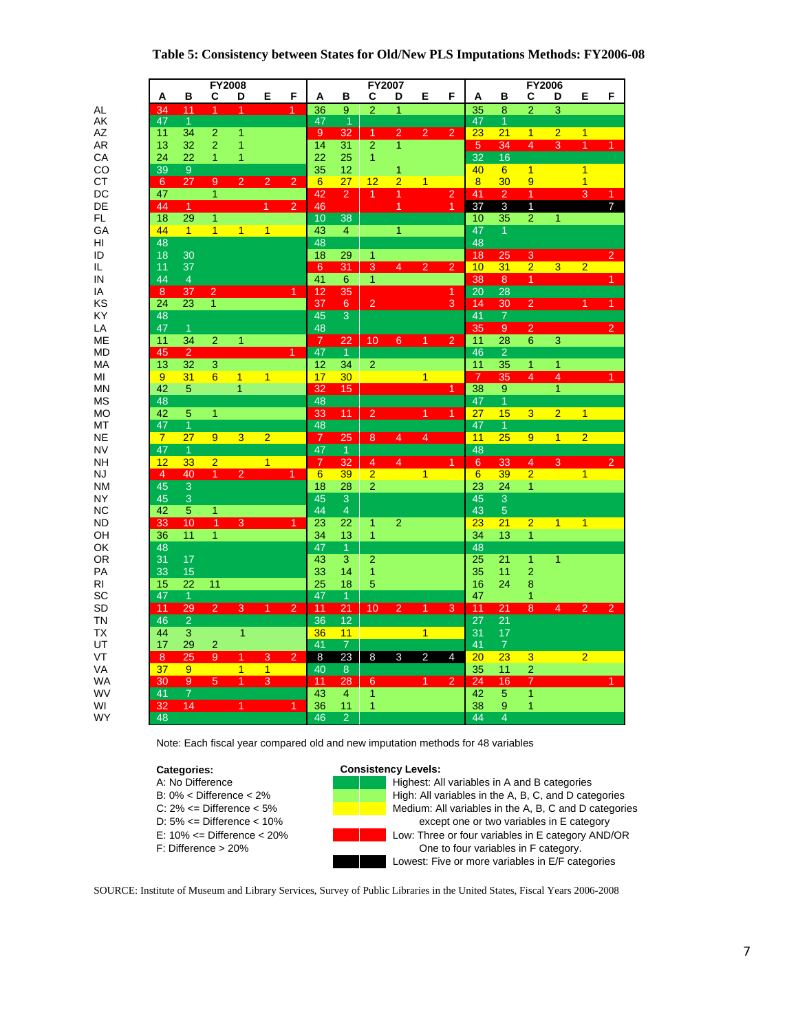#### **Table 5: Consistency between States for Old/New PLS Imputations Methods: FY2006-08**

|           |                 |                           |                           | <b>FY2008</b>  |                           |                |                 |                           | FY2007         |                |                      |                |                 |                     |                         | <b>FY2006</b>             |                           |                      |
|-----------|-----------------|---------------------------|---------------------------|----------------|---------------------------|----------------|-----------------|---------------------------|----------------|----------------|----------------------|----------------|-----------------|---------------------|-------------------------|---------------------------|---------------------------|----------------------|
|           | Α               | В                         | С                         | D              | Е                         | F              | Α               | B                         | С              | D              | Е                    | F              | Α               | в                   | С                       | D                         | Е                         | F                    |
| AL        | $\frac{34}{47}$ | 11                        | $\overline{1}$            | 1              |                           | 1              | 36              | 9                         | $\overline{2}$ | 1              |                      |                | $\overline{35}$ | 8                   | $\overline{2}$          | $\overline{3}$            |                           |                      |
| AK        |                 | $\overline{1}$            |                           |                |                           |                | 47              | $\overline{1}$            |                |                |                      |                | 47              | $\mathbf{1}$        |                         |                           |                           |                      |
| AZ        | 11              | 34                        | $\overline{2}$            | 1              |                           |                | 9               | 32                        | $\overline{1}$ | $\overline{2}$ | $\overline{2}$       | $\overline{2}$ | 23              | 21                  | $\overline{1}$          | $\overline{2}$            | $\overline{1}$            |                      |
| AR        | 13              | 32                        | $\overline{2}$            | 1              |                           |                | 14              | 31                        | $\overline{2}$ | $\overline{1}$ |                      |                | 5 <sup>5</sup>  | 34                  | $\overline{4}$          | $\overline{\overline{3}}$ | $\overline{1}$            | 1 <sup>1</sup>       |
| СA        | 24              | 22                        | 1                         | 1              |                           |                | 22              | 25                        | 1              |                |                      |                | $\overline{32}$ | 16                  |                         |                           |                           |                      |
| CO        | $\overline{39}$ | $9\,$                     |                           |                |                           |                | 35              | 12                        |                | 1              |                      |                | 40              | $6\phantom{1}$      | $\overline{1}$          |                           | $\overline{1}$            |                      |
| СT        | $6\phantom{1}$  | 27                        | $\overline{9}$            | $\overline{2}$ | $\overline{2}$            | $\overline{2}$ | $6\overline{6}$ | 27                        | 12             | $\overline{2}$ | $\overline{1}$       |                | 8               | 30                  | 9                       |                           | $\overline{1}$            |                      |
| DC        | 47              |                           | $\mathbf{1}$              |                |                           |                | 42              | $\overline{2}$            | $\overline{1}$ | 1              |                      | $\overline{2}$ | 41              | $\overline{2}$      | $\overline{1}$          |                           | $\overline{\overline{3}}$ | $\mathbf{1}$         |
| DE        | 44              | $\overline{1}$            |                           |                | $\overline{1}$            | $\overline{2}$ | 46              |                           |                | $\overline{1}$ |                      | $\overline{1}$ | 37              | $\overline{3}$      | $\mathbf{1}$            |                           |                           | $\overline{7}$       |
| FL.       | 18              | 29                        | $\mathbf{1}$              |                |                           |                | 10              | $\overline{38}$           |                |                |                      |                | 10              | 35                  | $\overline{2}$          | 1                         |                           |                      |
| GA        | 44              | $\overline{1}$            | $\overline{1}$            | $\overline{1}$ | $\overline{1}$            |                | 43              | $\overline{4}$            |                | $\overline{1}$ |                      |                | 47              | $\overline{1}$      |                         |                           |                           |                      |
| HI        | 48              |                           |                           |                |                           |                | 48              |                           |                |                |                      |                | 48              |                     |                         |                           |                           |                      |
| ID        | 18              | 30                        |                           |                |                           |                | 18              | 29                        | 1              |                |                      |                | 18              | 25                  | $\overline{3}$          |                           |                           | $\overline{2}$       |
| IL        | 11              | 37                        |                           |                |                           |                | $6^{\circ}$     | 31                        | $\overline{3}$ | $\overline{4}$ | $\overline{2}$       | $\overline{2}$ | 10              | 31                  | $\overline{2}$          | $3 -$                     | $\overline{2}$            |                      |
| IN        | 44              | $\overline{4}$            |                           |                |                           |                | 41              | 6                         | 1              |                |                      |                | 38              | 8                   | $\overline{1}$          |                           |                           | 1                    |
| IA        | $\overline{8}$  | 37                        | $\overline{2}$            |                |                           | 1              | 12              | 35                        |                |                |                      | $\overline{1}$ | $\overline{20}$ | $\overline{28}$     |                         |                           |                           |                      |
| KS        | 24              | 23                        | $\overline{1}$            |                |                           |                | 37              | $6\phantom{1}$            | $\overline{c}$ |                |                      | 3              | 14              | 30                  | $\overline{2}$          |                           | 1                         | $\blacktriangleleft$ |
| KY        | 48              |                           |                           |                |                           |                | 45              | $\overline{\overline{3}}$ |                |                |                      |                | 41              | $\overline{7}$      |                         |                           |                           |                      |
| LA        | 47              | $\mathbf{1}$              |                           |                |                           |                | 48              |                           |                |                |                      |                | 35              | 9                   | $\overline{2}$          |                           |                           | $\overline{2}$       |
| ME        | 11              | 34                        | $\overline{2}$            | 1              |                           |                | $\overline{7}$  | 22                        | 10             | 6 <sup>°</sup> | $\blacktriangleleft$ | $\overline{2}$ | 11              | 28                  | $6\phantom{1}$          | $\overline{\overline{3}}$ |                           |                      |
| MD        | 45              | $\overline{2}$            |                           |                |                           | 1              | $\overline{47}$ | $\overline{1}$            |                |                |                      |                | 46              | $\overline{2}$      |                         |                           |                           |                      |
| <b>MA</b> | 13              | 32                        | $\overline{\overline{3}}$ |                |                           |                | 12              | 34                        | $\overline{2}$ |                |                      |                | 11              | 35                  | $\overline{1}$          | $\mathbf{1}$              |                           |                      |
| MI        | 9               | 31                        | $6\overline{6}$           | $\overline{1}$ | $\overline{1}$            |                | 17              | 30                        |                |                | $\overline{1}$       |                | $\overline{7}$  | 35                  | 4                       | 4                         |                           | 1                    |
| MN        | 42              | 5                         |                           | $\overline{1}$ |                           |                | 32              | 15                        |                |                |                      | $\overline{1}$ | 38              | $\overline{9}$      |                         | $\overline{1}$            |                           |                      |
| МS        | 48              |                           |                           |                |                           |                | 48              |                           |                |                |                      |                | 47              | $\overline{1}$      |                         |                           |                           |                      |
| МO        | 42              | 5                         | $\overline{1}$            |                |                           |                | 33              | 11                        | $\overline{2}$ |                | 1                    | $\mathbf{1}$   | 27              | 15                  | $\overline{\mathbf{3}}$ | $\overline{2}$            | $\overline{1}$            |                      |
| MT        | 47              | $\overline{1}$            |                           |                |                           |                | 48              |                           |                |                |                      |                | 47              | $\overline{1}$      |                         |                           |                           |                      |
| <b>NE</b> | $\overline{7}$  | 27                        | $\overline{9}$            | 3 <sup>1</sup> | $\overline{2}$            |                | <b>R</b>        | 25                        | 8              | 4              | $\overline{4}$       |                | 11              | 25                  | 9                       | $\mathbf{1}$              | $\overline{2}$            |                      |
| <b>NV</b> | 47              | $\overline{1}$            |                           |                |                           |                | $\overline{47}$ | $\overline{1}$            |                |                |                      |                | 48              |                     |                         |                           |                           |                      |
| <b>NH</b> | 12              | 33                        | $\overline{2}$            |                | $\overline{1}$            |                | $\overline{7}$  | 32                        | $\overline{4}$ | $\overline{4}$ |                      | $\overline{1}$ | $6^{\circ}$     | 33                  | $\overline{4}$          | 3                         |                           | $\overline{2}$       |
| NJ        | $\overline{4}$  | 40                        | $\overline{1}$            | $\overline{2}$ |                           | $\overline{1}$ | $6\overline{6}$ | 39                        | $\overline{2}$ |                | 1 <sup>1</sup>       |                | $6\overline{6}$ | 39                  | $\overline{2}$          |                           | 1 <sup>1</sup>            |                      |
| <b>NM</b> | 45              | $\overline{\overline{3}}$ |                           |                |                           |                | 18              | 28                        | $\overline{2}$ |                |                      |                | 23              | 24                  | $\overline{1}$          |                           |                           |                      |
| NY        | 45              | 3                         |                           |                |                           |                | 45              | 3                         |                |                |                      |                | 45              | $\overline{3}$      |                         |                           |                           |                      |
| <b>NC</b> | 42              | 5                         | $\overline{1}$            |                |                           |                | 44              | $\overline{4}$            |                |                |                      |                | 43              | 5                   |                         |                           |                           |                      |
| <b>ND</b> | 33              | 10                        | $\overline{1}$            | 3              |                           | $\overline{1}$ | 23              | 22                        | 1              | $\overline{2}$ |                      |                | 23              | 21                  | $\overline{2}$          | $\overline{1}$            | $\overline{1}$            |                      |
| OН        | 36              | 11                        | 1                         |                |                           |                | 34              | 13                        | 1              |                |                      |                | 34              | 13                  | $\overline{1}$          |                           |                           |                      |
| OK        | 48              |                           |                           |                |                           |                | 47              | $\overline{1}$            |                |                |                      |                | 48              |                     |                         |                           |                           |                      |
| OR        | 31              | 17                        |                           |                |                           |                | 43              | 3                         | $\overline{2}$ |                |                      |                | 25              | 21                  | $\overline{1}$          | $\overline{1}$            |                           |                      |
| PA        | 33              | 15                        |                           |                |                           |                | 33              | 14                        | $\mathbf{1}$   |                |                      |                | 35              | 11                  | $\overline{a}$          |                           |                           |                      |
| RI        | 15              | 22                        | 11                        |                |                           |                | 25              | 18                        | 5              |                |                      |                | 16              | 24                  | 8                       |                           |                           |                      |
| SC        | 47              | $\overline{1}$            |                           |                |                           |                | 47              | $\overline{1}$            |                |                |                      |                | 47              |                     | 1                       |                           |                           |                      |
| <b>SD</b> | 11              | $\overline{29}$           | $\overline{2}$            | $\overline{3}$ | $\overline{1}$            | $\overline{2}$ | 11              | $\overline{21}$           | 10             | $\overline{2}$ | $\overline{1}$       | 3              | 11              | 21                  | $\overline{8}$          | $\overline{4}$            | $\overline{2}$            | $\overline{2}$       |
| <b>TN</b> | 46              | $\overline{2}$            |                           |                |                           |                | 36              | $\overline{12}$           |                |                |                      |                | 27              | $\overline{21}$     |                         |                           |                           |                      |
|           | 44              |                           |                           | $\overline{1}$ |                           |                |                 |                           |                |                | 1 <sup>1</sup>       |                | 31              | 17                  |                         |                           |                           |                      |
| ТX<br>UT  | 17              | 3<br>29                   |                           |                |                           |                | 36<br>41        | 11<br>$\overline{7}$      |                |                |                      |                | 41              | $\overline{7}$      |                         |                           |                           |                      |
| VT        | 8               | 25                        | $\overline{c}$<br>9       | $\overline{1}$ | $\overline{\overline{3}}$ | $\overline{2}$ | 8               | 23                        | $\overline{8}$ | 3              | $\overline{2}$       | $\overline{4}$ | 20              | 23                  | 3                       |                           | $\overline{2}$            |                      |
| <b>VA</b> | 37              | 9                         |                           | $\overline{1}$ | $\overline{1}$            |                | 40              | $\bf 8$                   |                |                |                      |                | 35              | 11                  | $\overline{2}$          |                           |                           |                      |
| WA        | 30              | $\overline{9}$            | 5                         | $\overline{1}$ | 3                         |                | 11              | 28                        | 6              |                | 1                    | $\overline{2}$ | 24              | 16                  | 7                       |                           |                           |                      |
| WV        | 41              | $\frac{1}{7}$             |                           |                |                           |                | 43              | $\overline{4}$            | 1              |                |                      |                | 42              | 5                   | $\overline{1}$          |                           |                           |                      |
|           | 32              | 14                        |                           | $\overline{1}$ |                           | $\overline{1}$ | 36              |                           | 1              |                |                      |                | 38              |                     | $\mathbf{1}$            |                           |                           |                      |
| WI        | 48              |                           |                           |                |                           |                |                 | 11<br>$\overline{2}$      |                |                |                      |                | 44              | 9<br>$\overline{4}$ |                         |                           |                           |                      |
| WY        |                 |                           |                           |                |                           |                | 46              |                           |                |                |                      |                |                 |                     |                         |                           |                           |                      |

Note: Each fiscal year compared old and new imputation methods for 48 variables

**Categories:** Consistency Levels:<br>
A: No Difference **Consistency Levels:** Alghest: Al

A: No Difference<br>B: 0% < Difference < 2%<br>High: All variables in the A, B, C, and D cate High: All variables in the A, B, C, and D categories C:  $2\%$  <= Difference < 5% Medium: All variables in the A, B, C and D categories D: 5% <= Difference < 10% except one or two variables in E category E: 10% <= Difference < 20% Low: Three or four variables in E category AND/OR<br>F: Difference > 20% Cne to four variables in F category. One to four variables in F category. Lowest: Five or more variables in E/F categories

SOURCE: Institute of Museum and Library Services, Survey of Public Libraries in the United States, Fiscal Years 2006-2008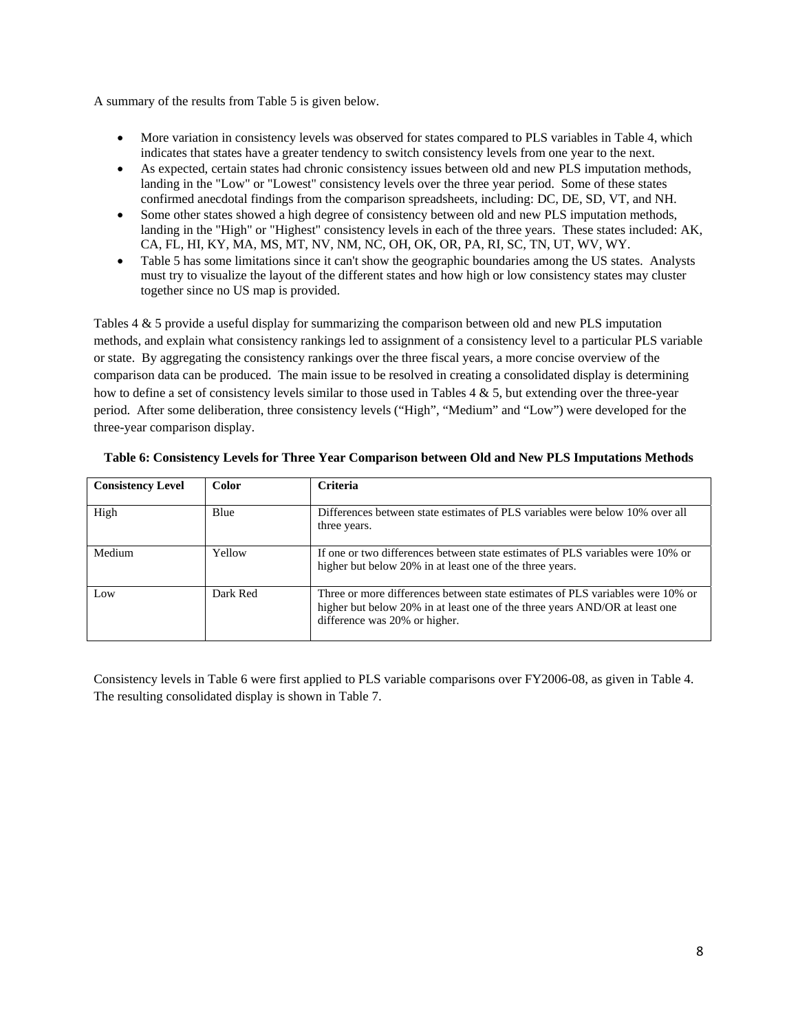A summary of the results from Table 5 is given below.

- More variation in consistency levels was observed for states compared to PLS variables in Table 4, which indicates that states have a greater tendency to switch consistency levels from one year to the next.
- As expected, certain states had chronic consistency issues between old and new PLS imputation methods, landing in the "Low" or "Lowest" consistency levels over the three year period. Some of these states confirmed anecdotal findings from the comparison spreadsheets, including: DC, DE, SD, VT, and NH.
- Some other states showed a high degree of consistency between old and new PLS imputation methods, landing in the "High" or "Highest" consistency levels in each of the three years. These states included: AK, CA, FL, HI, KY, MA, MS, MT, NV, NM, NC, OH, OK, OR, PA, RI, SC, TN, UT, WV, WY.
- Table 5 has some limitations since it can't show the geographic boundaries among the US states. Analysts must try to visualize the layout of the different states and how high or low consistency states may cluster together since no US map is provided.

Tables 4 & 5 provide a useful display for summarizing the comparison between old and new PLS imputation methods, and explain what consistency rankings led to assignment of a consistency level to a particular PLS variable or state. By aggregating the consistency rankings over the three fiscal years, a more concise overview of the comparison data can be produced. The main issue to be resolved in creating a consolidated display is determining how to define a set of consistency levels similar to those used in Tables  $4 \& 5$ , but extending over the three-year period. After some deliberation, three consistency levels ("High", "Medium" and "Low") were developed for the three-year comparison display.

| <b>Consistency Level</b> | <b>Color</b> | <b>Criteria</b>                                                                                                                                                                                |
|--------------------------|--------------|------------------------------------------------------------------------------------------------------------------------------------------------------------------------------------------------|
|                          |              |                                                                                                                                                                                                |
| High                     | Blue         | Differences between state estimates of PLS variables were below 10% over all                                                                                                                   |
|                          |              | three years.                                                                                                                                                                                   |
| Medium                   | Yellow       | If one or two differences between state estimates of PLS variables were 10% or<br>higher but below 20% in at least one of the three years.                                                     |
| Low                      | Dark Red     | Three or more differences between state estimates of PLS variables were 10% or<br>higher but below 20% in at least one of the three years AND/OR at least one<br>difference was 20% or higher. |

|  |  |  | Table 6: Consistency Levels for Three Year Comparison between Old and New PLS Imputations Methods |
|--|--|--|---------------------------------------------------------------------------------------------------|
|  |  |  |                                                                                                   |

Consistency levels in Table 6 were first applied to PLS variable comparisons over FY2006-08, as given in Table 4. The resulting consolidated display is shown in Table 7.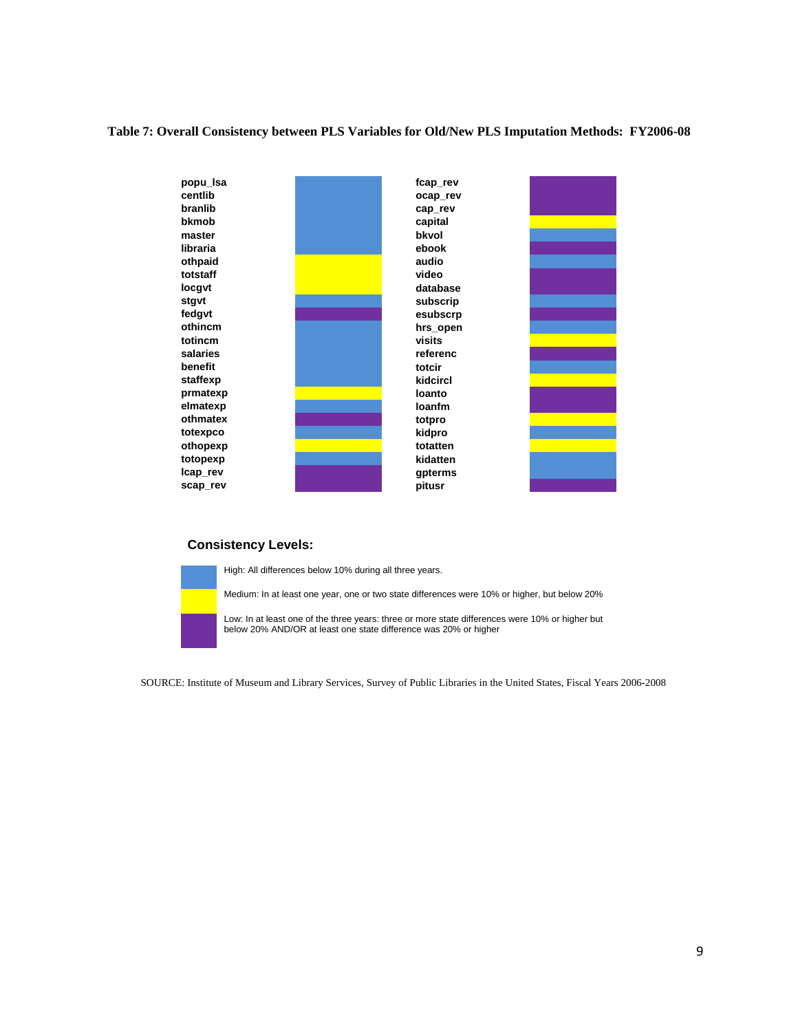#### **Table 7: Overall Consistency between PLS Variables for Old/New PLS Imputation Methods: FY2006-08**



## **Consistency Levels:**



High: All differences below 10% during all three years.

Medium: In at least one year, one or two state differences were 10% or higher, but below 20%

Low: In at least one of the three years: three or more state differences were 10% or higher but below 20% AND/OR at least one state difference was 20% or higher

SOURCE: Institute of Museum and Library Services, Survey of Public Libraries in the United States, Fiscal Years 2006-2008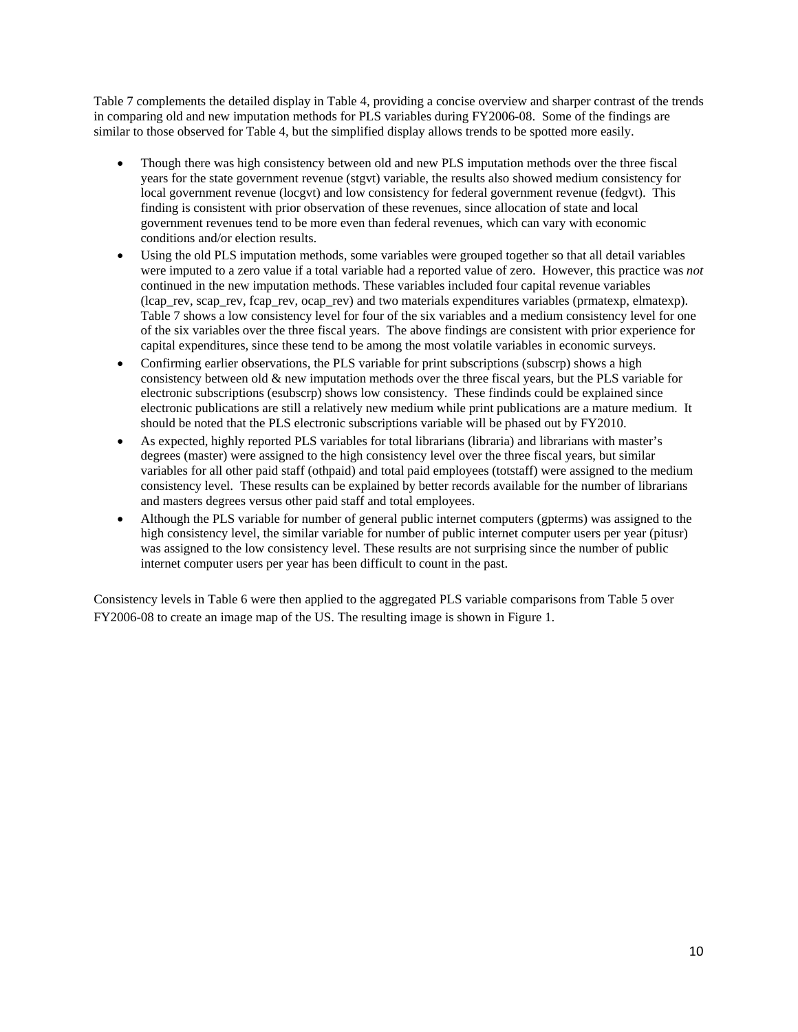Table 7 complements the detailed display in Table 4, providing a concise overview and sharper contrast of the trends in comparing old and new imputation methods for PLS variables during FY2006-08. Some of the findings are similar to those observed for Table 4, but the simplified display allows trends to be spotted more easily.

- Though there was high consistency between old and new PLS imputation methods over the three fiscal years for the state government revenue (stgvt) variable, the results also showed medium consistency for local government revenue (locgvt) and low consistency for federal government revenue (fedgvt). This finding is consistent with prior observation of these revenues, since allocation of state and local government revenues tend to be more even than federal revenues, which can vary with economic conditions and/or election results.
- Using the old PLS imputation methods, some variables were grouped together so that all detail variables were imputed to a zero value if a total variable had a reported value of zero. However, this practice was *not* continued in the new imputation methods. These variables included four capital revenue variables (lcap\_rev, scap\_rev, fcap\_rev, ocap\_rev) and two materials expenditures variables (prmatexp, elmatexp). Table 7 shows a low consistency level for four of the six variables and a medium consistency level for one of the six variables over the three fiscal years. The above findings are consistent with prior experience for capital expenditures, since these tend to be among the most volatile variables in economic surveys.
- Confirming earlier observations, the PLS variable for print subscriptions (subscrp) shows a high consistency between old & new imputation methods over the three fiscal years, but the PLS variable for electronic subscriptions (esubscrp) shows low consistency. These findinds could be explained since electronic publications are still a relatively new medium while print publications are a mature medium. It should be noted that the PLS electronic subscriptions variable will be phased out by FY2010.
- As expected, highly reported PLS variables for total librarians (libraria) and librarians with master's degrees (master) were assigned to the high consistency level over the three fiscal years, but similar variables for all other paid staff (othpaid) and total paid employees (totstaff) were assigned to the medium consistency level. These results can be explained by better records available for the number of librarians and masters degrees versus other paid staff and total employees.
- Although the PLS variable for number of general public internet computers (gpterms) was assigned to the high consistency level, the similar variable for number of public internet computer users per year (pitusr) was assigned to the low consistency level. These results are not surprising since the number of public internet computer users per year has been difficult to count in the past.

Consistency levels in Table 6 were then applied to the aggregated PLS variable comparisons from Table 5 over FY2006-08 to create an image map of the US. The resulting image is shown in Figure 1.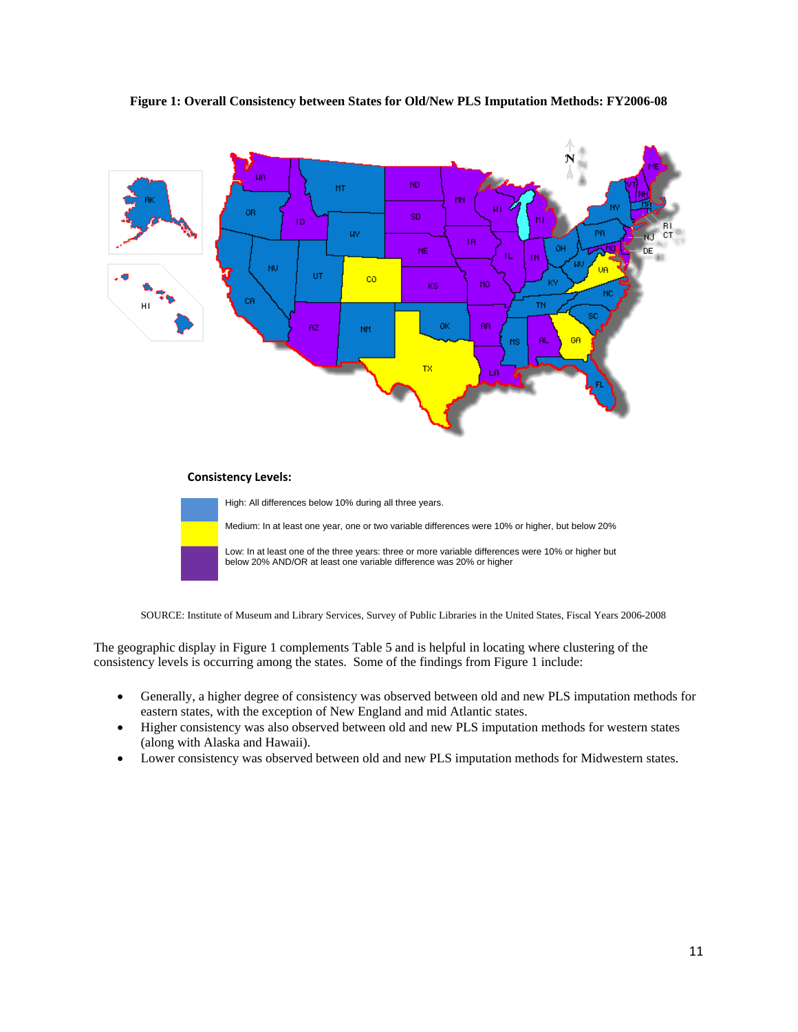## **Figure 1: Overall Consistency between States for Old/New PLS Imputation Methods: FY2006-08**



#### **Consistency Levels:**

High: All differences below 10% during all three years.

Medium: In at least one year, one or two variable differences were 10% or higher, but below 20%

Low: In at least one of the three years: three or more variable differences were 10% or higher but below 20% AND/OR at least one variable difference was 20% or higher

SOURCE: Institute of Museum and Library Services, Survey of Public Libraries in the United States, Fiscal Years 2006-2008

The geographic display in Figure 1 complements Table 5 and is helpful in locating where clustering of the consistency levels is occurring among the states. Some of the findings from Figure 1 include:

- Generally, a higher degree of consistency was observed between old and new PLS imputation methods for eastern states, with the exception of New England and mid Atlantic states.
- Higher consistency was also observed between old and new PLS imputation methods for western states (along with Alaska and Hawaii).
- Lower consistency was observed between old and new PLS imputation methods for Midwestern states.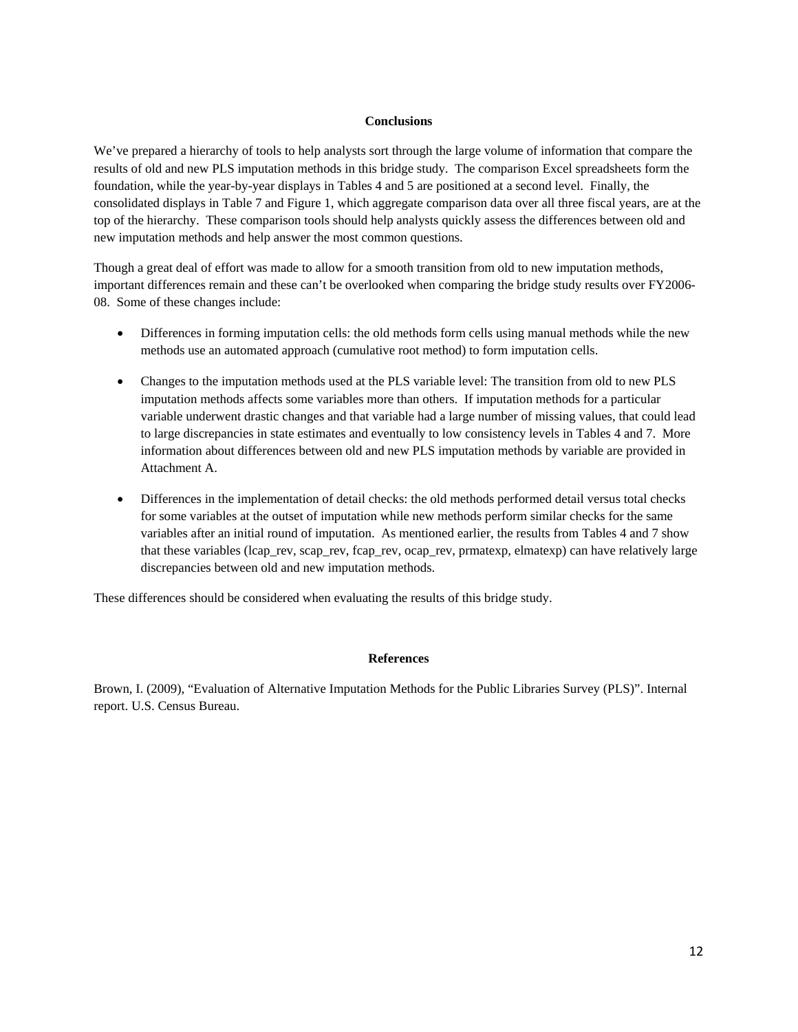### **Conclusions**

We've prepared a hierarchy of tools to help analysts sort through the large volume of information that compare the results of old and new PLS imputation methods in this bridge study. The comparison Excel spreadsheets form the foundation, while the year-by-year displays in Tables 4 and 5 are positioned at a second level. Finally, the consolidated displays in Table 7 and Figure 1, which aggregate comparison data over all three fiscal years, are at the top of the hierarchy. These comparison tools should help analysts quickly assess the differences between old and new imputation methods and help answer the most common questions.

Though a great deal of effort was made to allow for a smooth transition from old to new imputation methods, important differences remain and these can't be overlooked when comparing the bridge study results over FY2006- 08. Some of these changes include:

- Differences in forming imputation cells: the old methods form cells using manual methods while the new methods use an automated approach (cumulative root method) to form imputation cells.
- Changes to the imputation methods used at the PLS variable level: The transition from old to new PLS imputation methods affects some variables more than others. If imputation methods for a particular variable underwent drastic changes and that variable had a large number of missing values, that could lead to large discrepancies in state estimates and eventually to low consistency levels in Tables 4 and 7. More information about differences between old and new PLS imputation methods by variable are provided in Attachment A.
- Differences in the implementation of detail checks: the old methods performed detail versus total checks for some variables at the outset of imputation while new methods perform similar checks for the same variables after an initial round of imputation. As mentioned earlier, the results from Tables 4 and 7 show that these variables (lcap\_rev, scap\_rev, fcap\_rev, ocap\_rev, prmatexp, elmatexp) can have relatively large discrepancies between old and new imputation methods.

These differences should be considered when evaluating the results of this bridge study.

#### **References**

Brown, I. (2009), "Evaluation of Alternative Imputation Methods for the Public Libraries Survey (PLS)". Internal report. U.S. Census Bureau.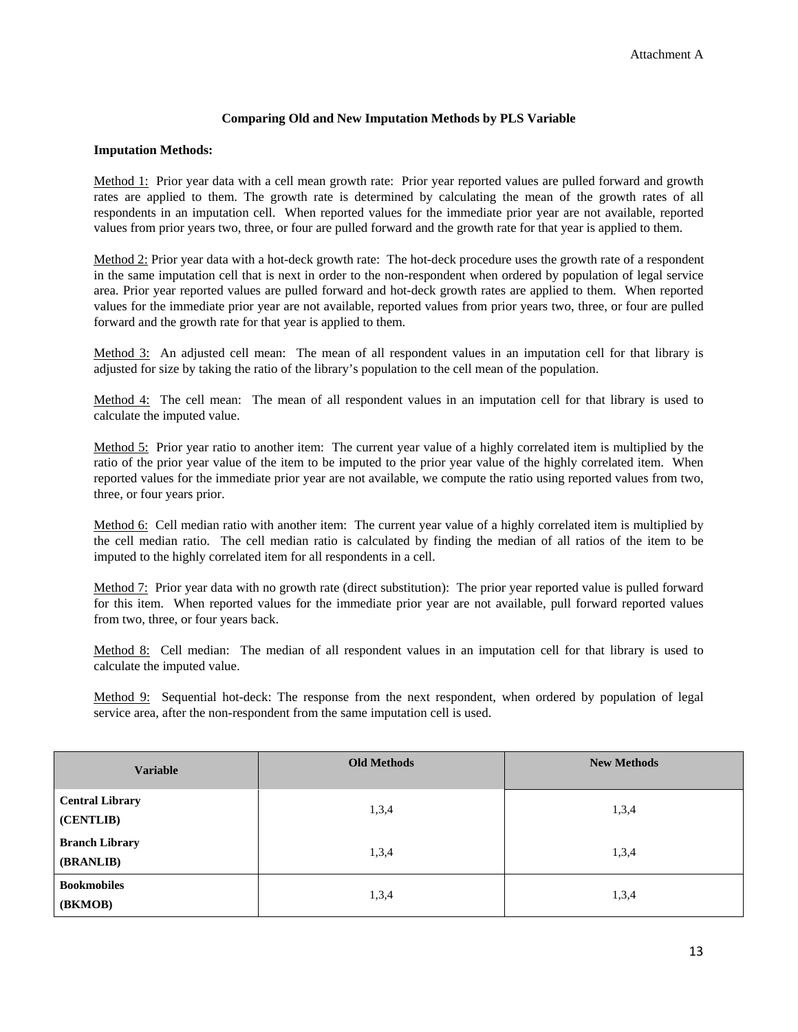# **Comparing Old and New Imputation Methods by PLS Variable**

## **Imputation Methods:**

Method 1: Prior year data with a cell mean growth rate: Prior year reported values are pulled forward and growth rates are applied to them. The growth rate is determined by calculating the mean of the growth rates of all respondents in an imputation cell. When reported values for the immediate prior year are not available, reported values from prior years two, three, or four are pulled forward and the growth rate for that year is applied to them.

Method 2: Prior year data with a hot-deck growth rate: The hot-deck procedure uses the growth rate of a respondent in the same imputation cell that is next in order to the non-respondent when ordered by population of legal service area. Prior year reported values are pulled forward and hot-deck growth rates are applied to them. When reported values for the immediate prior year are not available, reported values from prior years two, three, or four are pulled forward and the growth rate for that year is applied to them.

Method 3: An adjusted cell mean: The mean of all respondent values in an imputation cell for that library is adjusted for size by taking the ratio of the library's population to the cell mean of the population.

Method 4: The cell mean: The mean of all respondent values in an imputation cell for that library is used to calculate the imputed value.

Method 5: Prior year ratio to another item: The current year value of a highly correlated item is multiplied by the ratio of the prior year value of the item to be imputed to the prior year value of the highly correlated item. When reported values for the immediate prior year are not available, we compute the ratio using reported values from two, three, or four years prior.

Method 6:Cell median ratio with another item: The current year value of a highly correlated item is multiplied by the cell median ratio. The cell median ratio is calculated by finding the median of all ratios of the item to be imputed to the highly correlated item for all respondents in a cell.

Method 7: Prior year data with no growth rate (direct substitution): The prior year reported value is pulled forward for this item. When reported values for the immediate prior year are not available, pull forward reported values from two, three, or four years back.

Method 8:Cell median: The median of all respondent values in an imputation cell for that library is used to calculate the imputed value.

Method 9:Sequential hot-deck: The response from the next respondent, when ordered by population of legal service area, after the non-respondent from the same imputation cell is used.

| <b>Variable</b>                     | <b>Old Methods</b> | <b>New Methods</b> |
|-------------------------------------|--------------------|--------------------|
| <b>Central Library</b><br>(CENTLIB) | 1,3,4              | 1,3,4              |
| <b>Branch Library</b><br>(BRANLIB)  | 1,3,4              | 1,3,4              |
| <b>Bookmobiles</b><br>(BKMOB)       | 1,3,4              | 1,3,4              |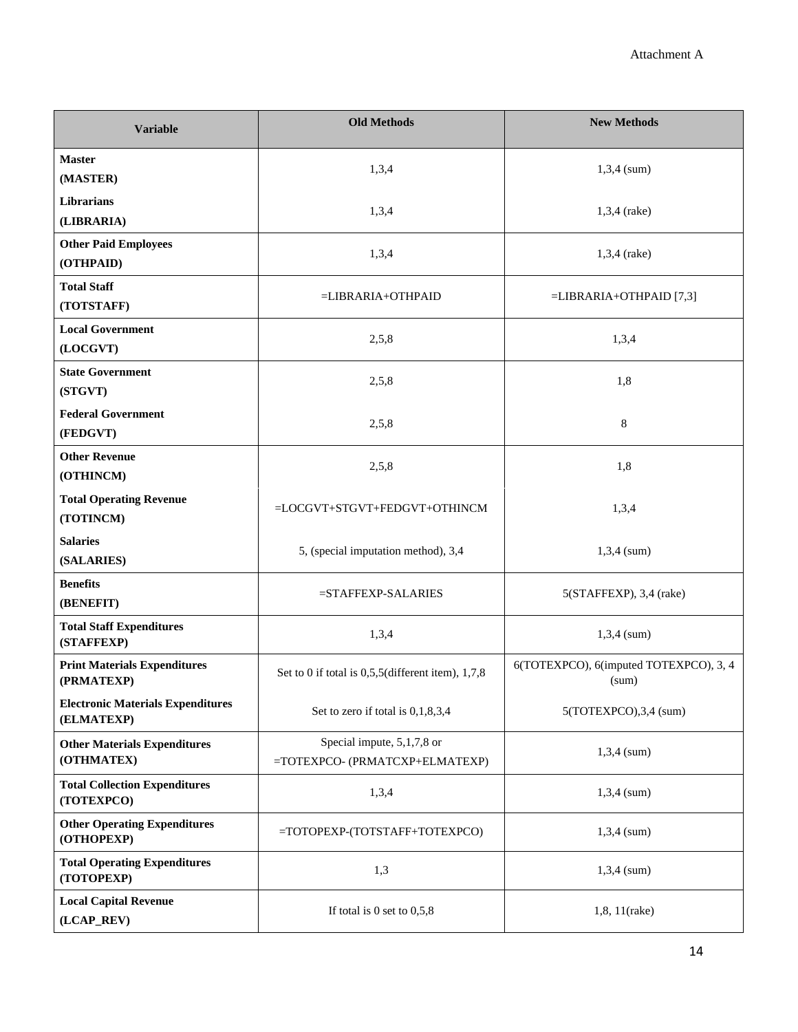| <b>Variable</b>                                        | <b>Old Methods</b>                                           | <b>New Methods</b>                              |  |  |
|--------------------------------------------------------|--------------------------------------------------------------|-------------------------------------------------|--|--|
| <b>Master</b><br>(MASTER)                              | 1,3,4                                                        | $1,3,4$ (sum)                                   |  |  |
| <b>Librarians</b><br>(LIBRARIA)                        | 1,3,4                                                        | 1,3,4 (rake)                                    |  |  |
| <b>Other Paid Employees</b><br>(OTHPAID)               | 1,3,4                                                        | 1,3,4 (rake)                                    |  |  |
| <b>Total Staff</b><br>(TOTSTAFF)                       | =LIBRARIA+OTHPAID                                            | $=LIBRARIA+OTHPAID$ [7,3]                       |  |  |
| <b>Local Government</b><br>(LOCGVT)                    | 2,5,8                                                        | 1,3,4                                           |  |  |
| <b>State Government</b><br>(STGVT)                     | 2,5,8                                                        | 1,8                                             |  |  |
| <b>Federal Government</b><br>(FEDGVT)                  | 2,5,8                                                        | 8                                               |  |  |
| <b>Other Revenue</b><br>(OTHINCM)                      | 2,5,8                                                        | 1,8                                             |  |  |
| <b>Total Operating Revenue</b><br>(TOTINCM)            | =LOCGVT+STGVT+FEDGVT+OTHINCM                                 | 1,3,4                                           |  |  |
| <b>Salaries</b><br>(SALARIES)                          | 5, (special imputation method), 3,4                          | $1,3,4$ (sum)                                   |  |  |
| <b>Benefits</b><br>(BENEFIT)                           | $=$ STAFFEXP-SALARIES                                        | $5(STAFFEXP)$ , 3,4 (rake)                      |  |  |
| <b>Total Staff Expenditures</b><br>(STAFFEXP)          | 1,3,4                                                        | $1,3,4$ (sum)                                   |  |  |
| <b>Print Materials Expenditures</b><br>(PRMATEXP)      | Set to 0 if total is $0,5,5$ (different item), 1,7,8         | 6(TOTEXPCO), 6(imputed TOTEXPCO), 3, 4<br>(sum) |  |  |
| <b>Electronic Materials Expenditures</b><br>(ELMATEXP) | Set to zero if total is 0,1,8,3,4                            | 5(TOTEXPCO), 3, 4 (sum)                         |  |  |
| <b>Other Materials Expenditures</b><br>(OTHMATEX)      | Special impute, 5,1,7,8 or<br>=TOTEXPCO- (PRMATCXP+ELMATEXP) | $1,3,4$ (sum)                                   |  |  |
| <b>Total Collection Expenditures</b><br>(TOTEXPCO)     | 1,3,4                                                        | $1,3,4$ (sum)                                   |  |  |
| <b>Other Operating Expenditures</b><br>(OTHOPEXP)      | =TOTOPEXP-(TOTSTAFF+TOTEXPCO)                                | $1,3,4$ (sum)                                   |  |  |
| <b>Total Operating Expenditures</b><br>(TOTOPEXP)      | 1,3                                                          | $1,3,4$ (sum)                                   |  |  |
| <b>Local Capital Revenue</b><br>(LCAP_REV)             | If total is $0$ set to $0,5,8$                               | 1,8, 11(rake)                                   |  |  |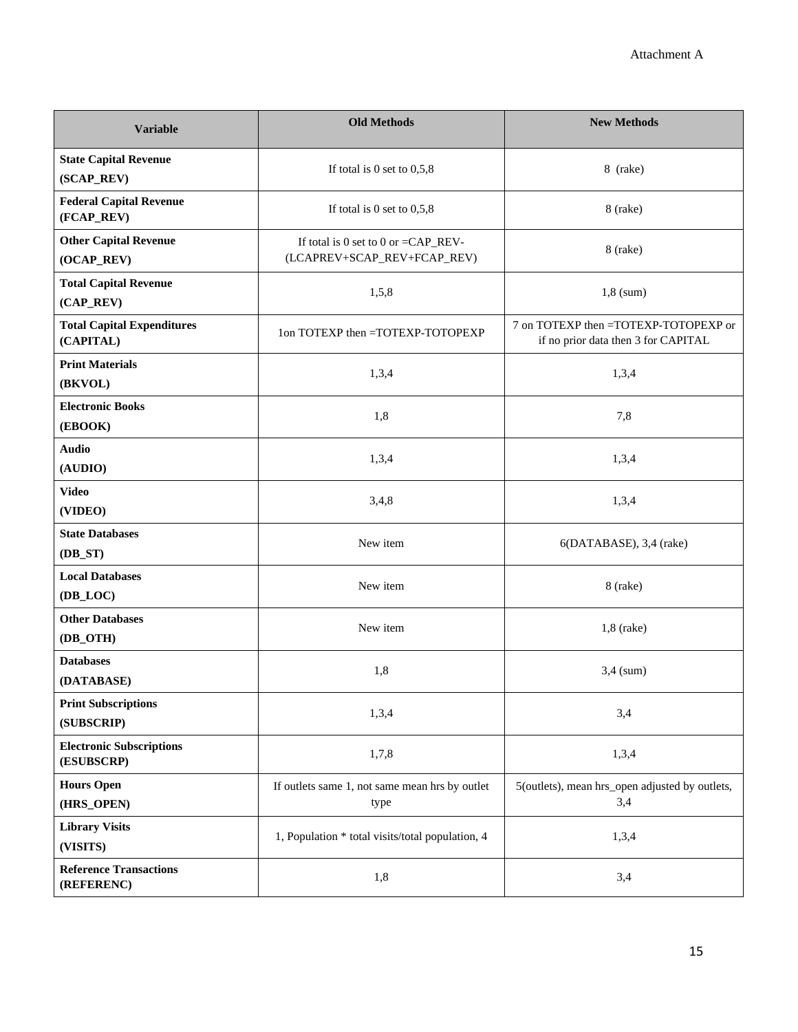| <b>Variable</b>                                | <b>Old Methods</b>                                                     | <b>New Methods</b>                                                          |
|------------------------------------------------|------------------------------------------------------------------------|-----------------------------------------------------------------------------|
| <b>State Capital Revenue</b><br>(SCAP_REV)     | If total is 0 set to $0,5,8$                                           | 8 (rake)                                                                    |
| <b>Federal Capital Revenue</b><br>(FCAP_REV)   | If total is 0 set to $0,5,8$                                           | 8 (rake)                                                                    |
| <b>Other Capital Revenue</b><br>(OCAP_REV)     | If total is 0 set to 0 or = $CAP\_REV-$<br>(LCAPREV+SCAP_REV+FCAP_REV) | 8 (rake)                                                                    |
| <b>Total Capital Revenue</b><br>(CAP_REV)      | 1,5,8                                                                  | $1,8$ (sum)                                                                 |
| <b>Total Capital Expenditures</b><br>(CAPITAL) | 1on TOTEXP then =TOTEXP-TOTOPEXP                                       | 7 on TOTEXP then =TOTEXP-TOTOPEXP or<br>if no prior data then 3 for CAPITAL |
| <b>Print Materials</b><br>(BKVOL)              | 1,3,4                                                                  | 1,3,4                                                                       |
| <b>Electronic Books</b><br>(EBOOK)             | 1,8                                                                    | 7,8                                                                         |
| <b>Audio</b><br>(AUDIO)                        | 1,3,4                                                                  | 1,3,4                                                                       |
| <b>Video</b><br>(VIDEO)                        | 3,4,8                                                                  | 1,3,4                                                                       |
| <b>State Databases</b><br>$(DB\_ST)$           | New item                                                               | 6(DATABASE), 3,4 (rake)                                                     |
| <b>Local Databases</b><br>(DB_LOC)             | New item                                                               | 8 (rake)                                                                    |
| <b>Other Databases</b><br>(DB_OTH)             | New item                                                               | $1,8$ (rake)                                                                |
| <b>Databases</b><br>(DATABASE)                 | 1,8                                                                    | $3,4$ (sum)                                                                 |
| <b>Print Subscriptions</b><br>(SUBSCRIP)       | 1,3,4                                                                  | 3,4                                                                         |
| <b>Electronic Subscriptions</b><br>(ESUBSCRP)  | 1,7,8                                                                  | 1,3,4                                                                       |
| <b>Hours Open</b><br>(HRS_OPEN)                | If outlets same 1, not same mean hrs by outlet<br>type                 | 5(outlets), mean hrs_open adjusted by outlets,<br>3,4                       |
| <b>Library Visits</b><br>(VISITS)              | 1, Population * total visits/total population, 4                       | 1,3,4                                                                       |
| <b>Reference Transactions</b><br>(REFERENC)    | 1,8                                                                    | 3,4                                                                         |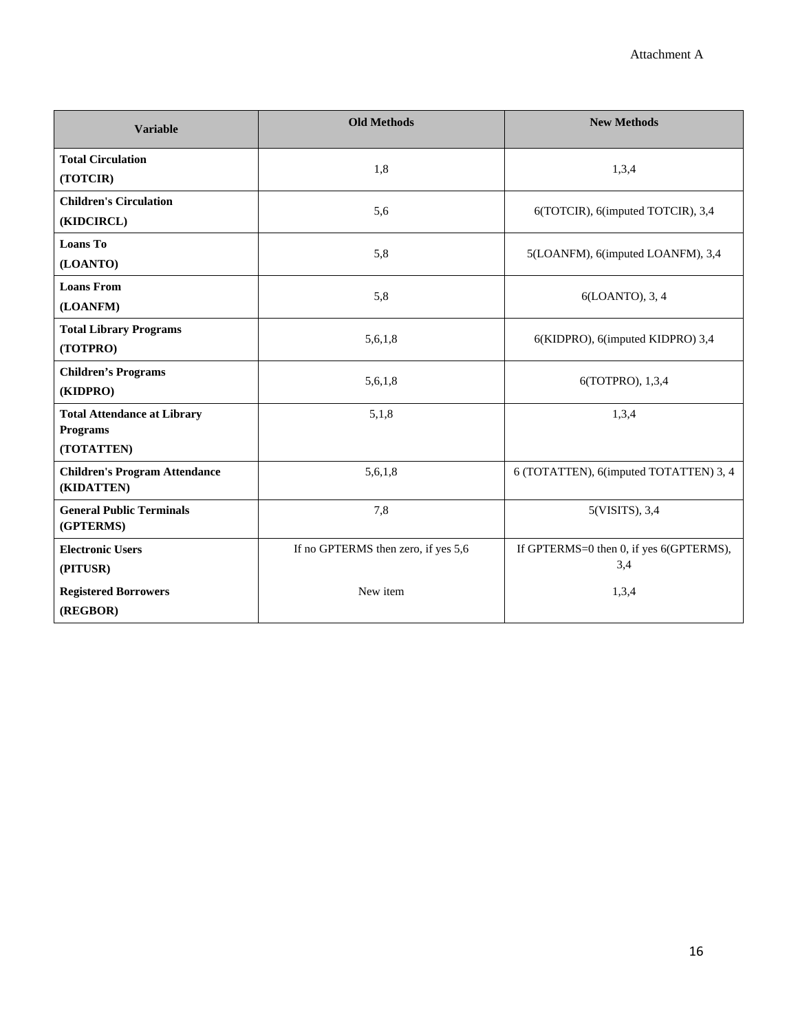| <b>Variable</b>                                                     | <b>Old Methods</b>                  | <b>New Methods</b>                             |
|---------------------------------------------------------------------|-------------------------------------|------------------------------------------------|
| <b>Total Circulation</b><br>(TOTCIR)                                | 1,8                                 | 1,3,4                                          |
| <b>Children's Circulation</b><br>(KIDCIRCL)                         | 5,6                                 | 6(TOTCIR), 6(imputed TOTCIR), 3,4              |
| <b>Loans To</b><br>(LOANTO)                                         | 5,8                                 | 5(LOANFM), 6(imputed LOANFM), 3,4              |
| <b>Loans From</b><br>(LOANFM)                                       | 5,8                                 | 6(LOANTO), 3, 4                                |
| <b>Total Library Programs</b><br>(TOTPRO)                           | 5,6,1,8                             | 6(KIDPRO), 6(imputed KIDPRO) 3,4               |
| <b>Children's Programs</b><br>(KIDPRO)                              | 5,6,1,8                             | 6(TOTPRO), 1,3,4                               |
| <b>Total Attendance at Library</b><br><b>Programs</b><br>(TOTATTEN) | 5,1,8                               | 1,3,4                                          |
| <b>Children's Program Attendance</b><br>(KIDATTEN)                  | 5,6,1,8                             | 6 (TOTATTEN), 6(imputed TOTATTEN) 3, 4         |
| <b>General Public Terminals</b><br>(GPTERMS)                        | 7,8                                 | 5(VISITS), 3,4                                 |
| <b>Electronic Users</b><br>(PITUSR)                                 | If no GPTERMS then zero, if yes 5,6 | If GPTERMS=0 then 0, if yes 6(GPTERMS),<br>3,4 |
| <b>Registered Borrowers</b><br>(REGBOR)                             | New item                            | 1,3,4                                          |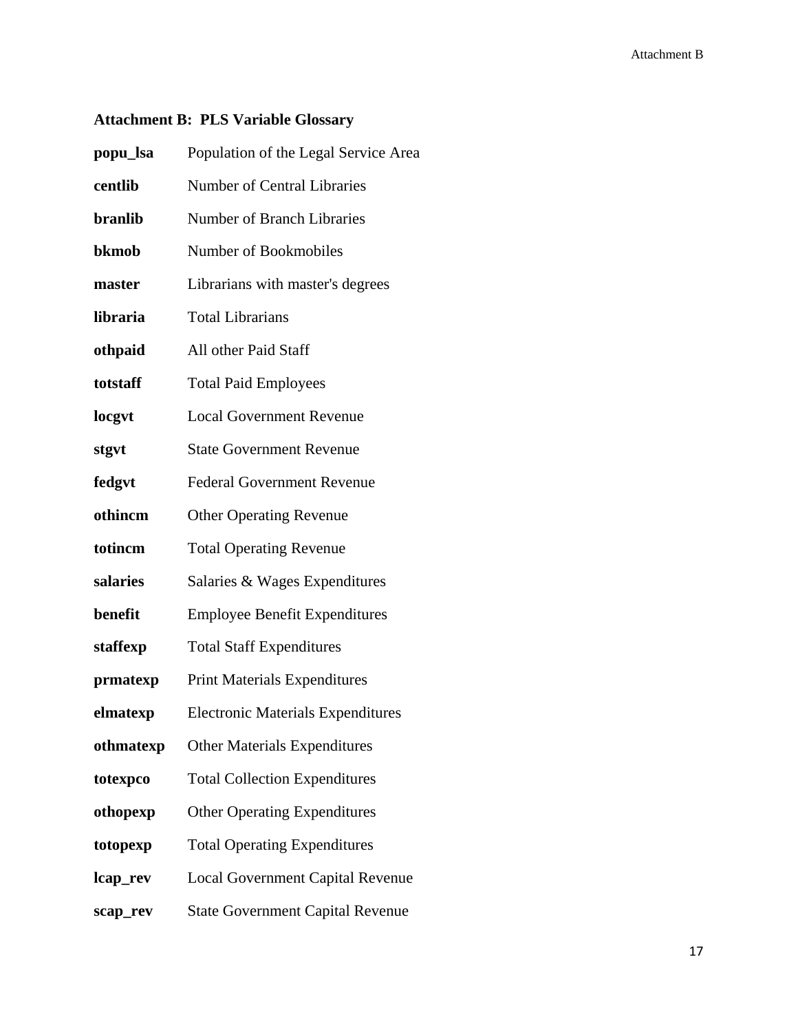# **Attachment B: PLS Variable Glossary**

| popu_lsa       | Population of the Legal Service Area     |
|----------------|------------------------------------------|
| centlib        | <b>Number of Central Libraries</b>       |
| <b>branlib</b> | <b>Number of Branch Libraries</b>        |
| bkmob          | Number of Bookmobiles                    |
| master         | Librarians with master's degrees         |
| libraria       | <b>Total Librarians</b>                  |
| othpaid        | All other Paid Staff                     |
| totstaff       | <b>Total Paid Employees</b>              |
| locgyt         | <b>Local Government Revenue</b>          |
| stgvt          | <b>State Government Revenue</b>          |
| fedgvt         | <b>Federal Government Revenue</b>        |
| othincm        | <b>Other Operating Revenue</b>           |
| totincm        | <b>Total Operating Revenue</b>           |
| salaries       | Salaries & Wages Expenditures            |
| benefit        | <b>Employee Benefit Expenditures</b>     |
| staffexp       | <b>Total Staff Expenditures</b>          |
| prmatexp       | <b>Print Materials Expenditures</b>      |
| elmatexp       | <b>Electronic Materials Expenditures</b> |
| othmatexp      | <b>Other Materials Expenditures</b>      |
| totexpco       | <b>Total Collection Expenditures</b>     |
| othopexp       | <b>Other Operating Expenditures</b>      |
| totopexp       | <b>Total Operating Expenditures</b>      |
| lcap_rev       | <b>Local Government Capital Revenue</b>  |
| scap_rev       | <b>State Government Capital Revenue</b>  |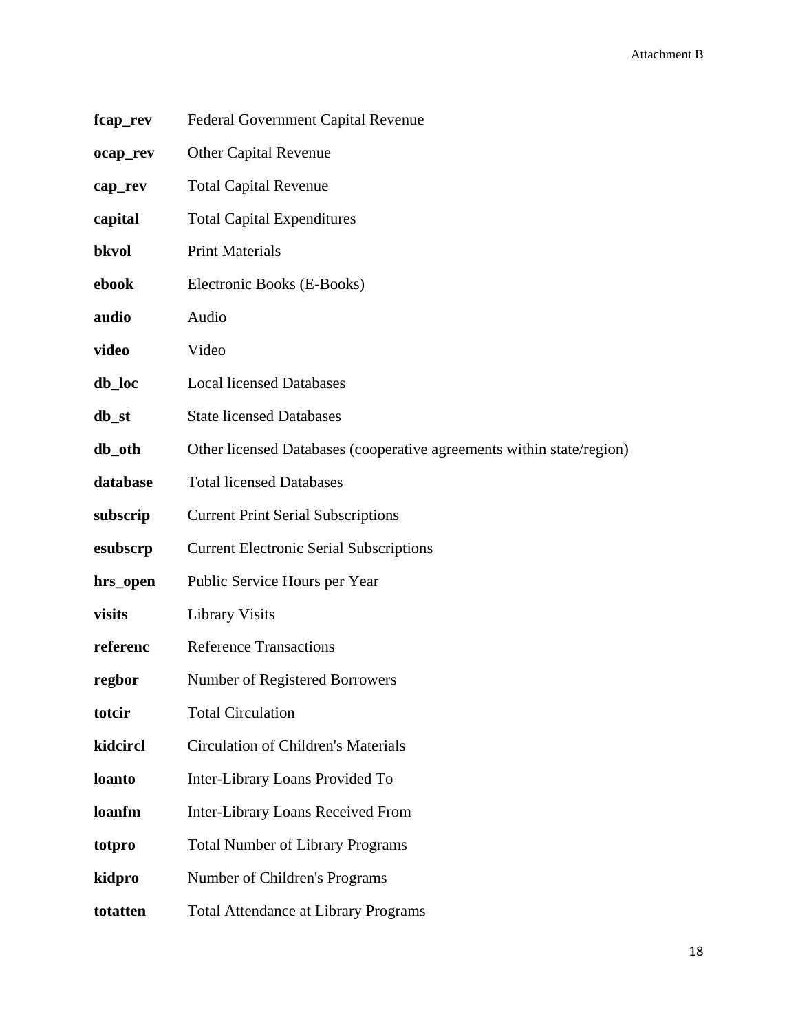| fcap_rev | Federal Government Capital Revenue                                    |
|----------|-----------------------------------------------------------------------|
| ocap_rev | <b>Other Capital Revenue</b>                                          |
| cap_rev  | <b>Total Capital Revenue</b>                                          |
| capital  | <b>Total Capital Expenditures</b>                                     |
| bkvol    | <b>Print Materials</b>                                                |
| ebook    | Electronic Books (E-Books)                                            |
| audio    | Audio                                                                 |
| video    | Video                                                                 |
| db_loc   | <b>Local licensed Databases</b>                                       |
| db_st    | <b>State licensed Databases</b>                                       |
| db_oth   | Other licensed Databases (cooperative agreements within state/region) |
| database | <b>Total licensed Databases</b>                                       |
| subscrip | <b>Current Print Serial Subscriptions</b>                             |
| esubscrp | <b>Current Electronic Serial Subscriptions</b>                        |
| hrs_open | Public Service Hours per Year                                         |
| visits   | <b>Library Visits</b>                                                 |
| referenc | <b>Reference Transactions</b>                                         |
| regbor   | Number of Registered Borrowers                                        |
| totcir   | <b>Total Circulation</b>                                              |
| kidcircl | <b>Circulation of Children's Materials</b>                            |
| loanto   | Inter-Library Loans Provided To                                       |
| loanfm   | <b>Inter-Library Loans Received From</b>                              |
| totpro   | <b>Total Number of Library Programs</b>                               |
| kidpro   | Number of Children's Programs                                         |
| totatten | <b>Total Attendance at Library Programs</b>                           |